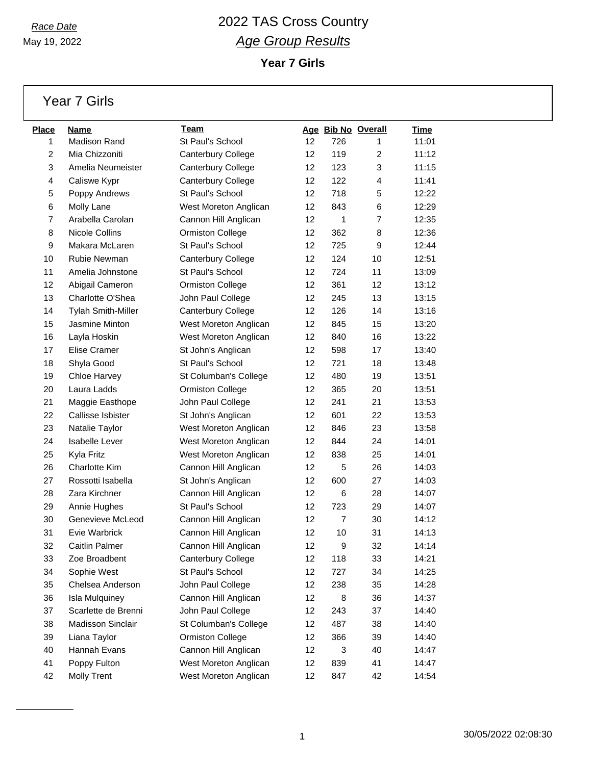May 19, 2022

**Year 7 Girls**

Year 7 Girls

| <b>Place</b> | Name                      | Team                    |                   |                | Age Bib No Overall | <u>Time</u> |
|--------------|---------------------------|-------------------------|-------------------|----------------|--------------------|-------------|
| 1            | <b>Madison Rand</b>       | St Paul's School        | 12                | 726            | 1                  | 11:01       |
| 2            | Mia Chizzoniti            | Canterbury College      | 12                | 119            | $\overline{c}$     | 11:12       |
| 3            | Amelia Neumeister         | Canterbury College      | 12                | 123            | 3                  | 11:15       |
| 4            | Caliswe Kypr              | Canterbury College      | 12                | 122            | 4                  | 11:41       |
| 5            | Poppy Andrews             | St Paul's School        | 12                | 718            | 5                  | 12:22       |
| 6            | Molly Lane                | West Moreton Anglican   | 12                | 843            | 6                  | 12:29       |
| 7            | Arabella Carolan          | Cannon Hill Anglican    | 12                | 1              | $\overline{7}$     | 12:35       |
| 8            | Nicole Collins            | Ormiston College        | 12                | 362            | 8                  | 12:36       |
| 9            | Makara McLaren            | St Paul's School        | 12                | 725            | 9                  | 12:44       |
| 10           | Rubie Newman              | Canterbury College      | 12                | 124            | 10                 | 12:51       |
| 11           | Amelia Johnstone          | St Paul's School        | 12                | 724            | 11                 | 13:09       |
| 12           | Abigail Cameron           | <b>Ormiston College</b> | 12                | 361            | 12                 | 13:12       |
| 13           | Charlotte O'Shea          | John Paul College       | 12                | 245            | 13                 | 13:15       |
| 14           | <b>Tylah Smith-Miller</b> | Canterbury College      | 12                | 126            | 14                 | 13:16       |
| 15           | Jasmine Minton            | West Moreton Anglican   | 12                | 845            | 15                 | 13:20       |
| 16           | Layla Hoskin              | West Moreton Anglican   | 12                | 840            | 16                 | 13:22       |
| 17           | Elise Cramer              | St John's Anglican      | 12                | 598            | 17                 | 13:40       |
| 18           | Shyla Good                | St Paul's School        | 12                | 721            | 18                 | 13:48       |
| 19           | Chloe Harvey              | St Columban's College   | 12                | 480            | 19                 | 13:51       |
| 20           | Laura Ladds               | Ormiston College        | 12                | 365            | 20                 | 13:51       |
| 21           | Maggie Easthope           | John Paul College       | 12                | 241            | 21                 | 13:53       |
| 22           | Callisse Isbister         | St John's Anglican      | 12                | 601            | 22                 | 13:53       |
| 23           | Natalie Taylor            | West Moreton Anglican   | 12                | 846            | 23                 | 13:58       |
| 24           | <b>Isabelle Lever</b>     | West Moreton Anglican   | 12                | 844            | 24                 | 14:01       |
| 25           | Kyla Fritz                | West Moreton Anglican   | 12                | 838            | 25                 | 14:01       |
| 26           | Charlotte Kim             | Cannon Hill Anglican    | 12                | 5              | 26                 | 14:03       |
| 27           | Rossotti Isabella         | St John's Anglican      | 12                | 600            | 27                 | 14:03       |
| 28           | Zara Kirchner             | Cannon Hill Anglican    | 12                | 6              | 28                 | 14:07       |
| 29           | Annie Hughes              | St Paul's School        | 12                | 723            | 29                 | 14:07       |
| 30           | Genevieve McLeod          | Cannon Hill Anglican    | 12                | $\overline{7}$ | 30                 | 14:12       |
| 31           | Evie Warbrick             | Cannon Hill Anglican    | 12                | 10             | 31                 | 14:13       |
| 32           | Caitlin Palmer            | Cannon Hill Anglican    | 12                | 9              | 32                 | 14:14       |
| 33           | Zoe Broadbent             | Canterbury College      | 12                | 118            | 33                 | 14:21       |
| 34           | Sophie West               | St Paul's School        | 12                | 727            | 34                 | 14:25       |
| 35           | Chelsea Anderson          | John Paul College       | 12                | 238            | 35                 | 14:28       |
| 36           | <b>Isla Mulquiney</b>     | Cannon Hill Anglican    | 12                | 8              | 36                 | 14:37       |
| 37           | Scarlette de Brenni       | John Paul College       | $12 \overline{ }$ | 243            | 37                 | 14:40       |
| 38           | Madisson Sinclair         | St Columban's College   | 12                | 487            | 38                 | 14:40       |
| 39           | Liana Taylor              | <b>Ormiston College</b> | 12                | 366            | 39                 | 14:40       |
| 40           | Hannah Evans              | Cannon Hill Anglican    | 12                | 3              | 40                 | 14:47       |
| 41           | Poppy Fulton              | West Moreton Anglican   | 12                | 839            | 41                 | 14:47       |
| 42           | <b>Molly Trent</b>        | West Moreton Anglican   | $12 \overline{ }$ | 847            | 42                 | 14:54       |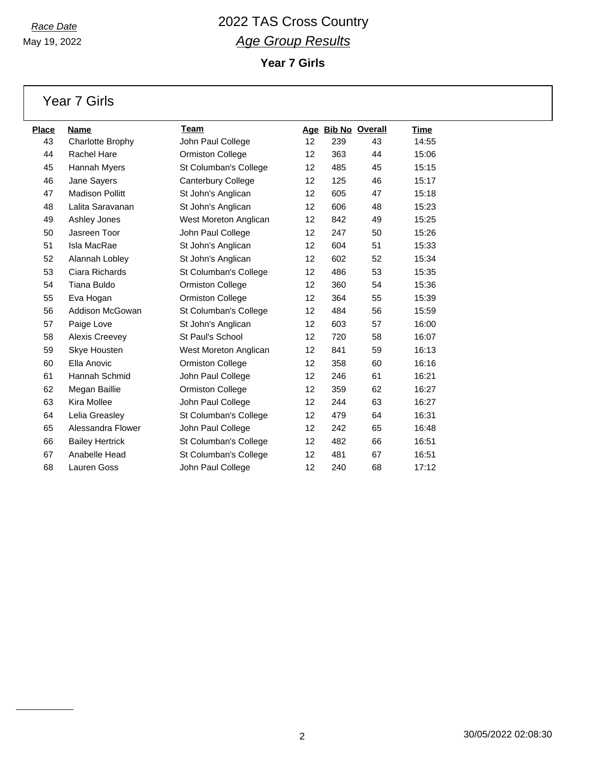May 19, 2022

**Year 7 Girls**

Year 7 Girls

| Place | <b>Name</b>             | Team                      |    |     | Age Bib No Overall | Time  |
|-------|-------------------------|---------------------------|----|-----|--------------------|-------|
| 43    | <b>Charlotte Brophy</b> | John Paul College         | 12 | 239 | 43                 | 14:55 |
| 44    | <b>Rachel Hare</b>      | <b>Ormiston College</b>   | 12 | 363 | 44                 | 15:06 |
| 45    | Hannah Myers            | St Columban's College     | 12 | 485 | 45                 | 15:15 |
| 46    | Jane Sayers             | <b>Canterbury College</b> | 12 | 125 | 46                 | 15:17 |
| 47    | <b>Madison Pollitt</b>  | St John's Anglican        | 12 | 605 | 47                 | 15:18 |
| 48    | Lalita Saravanan        | St John's Anglican        | 12 | 606 | 48                 | 15:23 |
| 49    | Ashley Jones            | West Moreton Anglican     | 12 | 842 | 49                 | 15:25 |
| 50    | Jasreen Toor            | John Paul College         | 12 | 247 | 50                 | 15:26 |
| 51    | Isla MacRae             | St John's Anglican        | 12 | 604 | 51                 | 15:33 |
| 52    | Alannah Lobley          | St John's Anglican        | 12 | 602 | 52                 | 15:34 |
| 53    | Ciara Richards          | St Columban's College     | 12 | 486 | 53                 | 15:35 |
| 54    | Tiana Buldo             | <b>Ormiston College</b>   | 12 | 360 | 54                 | 15:36 |
| 55    | Eva Hogan               | <b>Ormiston College</b>   | 12 | 364 | 55                 | 15:39 |
| 56    | <b>Addison McGowan</b>  | St Columban's College     | 12 | 484 | 56                 | 15:59 |
| 57    | Paige Love              | St John's Anglican        | 12 | 603 | 57                 | 16:00 |
| 58    | Alexis Creevey          | St Paul's School          | 12 | 720 | 58                 | 16:07 |
| 59    | Skye Housten            | West Moreton Anglican     | 12 | 841 | 59                 | 16:13 |
| 60    | Ella Anovic             | <b>Ormiston College</b>   | 12 | 358 | 60                 | 16:16 |
| 61    | Hannah Schmid           | John Paul College         | 12 | 246 | 61                 | 16:21 |
| 62    | Megan Baillie           | Ormiston College          | 12 | 359 | 62                 | 16:27 |
| 63    | Kira Mollee             | John Paul College         | 12 | 244 | 63                 | 16:27 |
| 64    | Lelia Greasley          | St Columban's College     | 12 | 479 | 64                 | 16:31 |
| 65    | Alessandra Flower       | John Paul College         | 12 | 242 | 65                 | 16:48 |
| 66    | <b>Bailey Hertrick</b>  | St Columban's College     | 12 | 482 | 66                 | 16:51 |
| 67    | Anabelle Head           | St Columban's College     | 12 | 481 | 67                 | 16:51 |
| 68    | Lauren Goss             | John Paul College         | 12 | 240 | 68                 | 17:12 |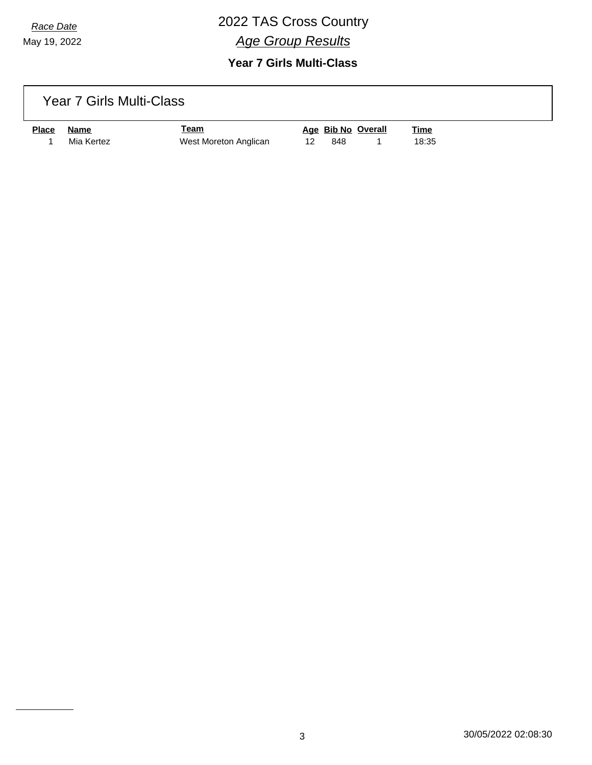May 19, 2022

### *Race Date* 2022 TAS Cross Country *Age Group Results*

#### **Year 7 Girls Multi-Class**

#### Year 7 Girls Multi-Class

| <u>Place</u> | Name       | <u> Team</u>          |      | Age Bib No Overall | <b>Time</b> |
|--------------|------------|-----------------------|------|--------------------|-------------|
|              | Mia Kertez | West Moreton Anglican | -848 |                    | 18:35       |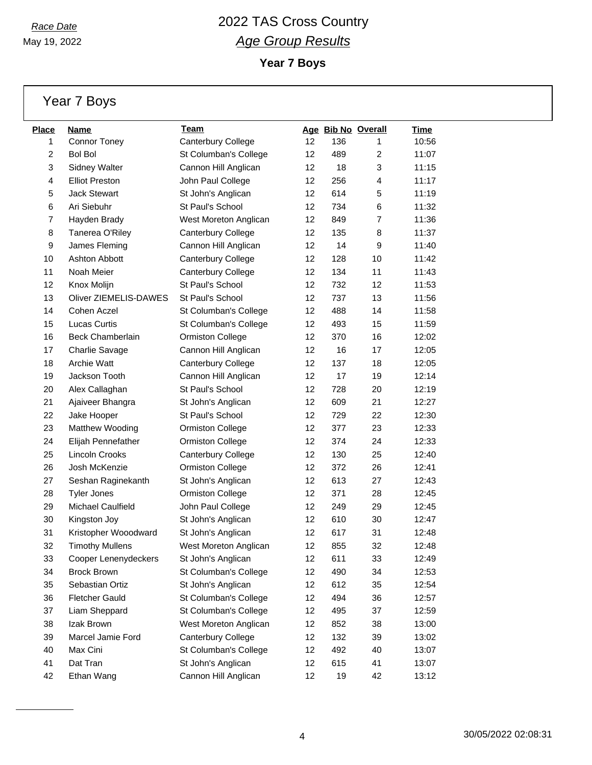May 19, 2022

**Year 7 Boys**

Year 7 Boys

| <b>Place</b>   | Name                         | Team                    |                   |     | Age Bib No Overall | Time  |
|----------------|------------------------------|-------------------------|-------------------|-----|--------------------|-------|
| 1              | <b>Connor Toney</b>          | Canterbury College      | 12                | 136 | 1                  | 10:56 |
| $\overline{c}$ | <b>Bol Bol</b>               | St Columban's College   | 12                | 489 | $\overline{2}$     | 11:07 |
| 3              | <b>Sidney Walter</b>         | Cannon Hill Anglican    | 12                | 18  | 3                  | 11:15 |
| 4              | <b>Elliot Preston</b>        | John Paul College       | 12                | 256 | 4                  | 11:17 |
| 5              | <b>Jack Stewart</b>          | St John's Anglican      | 12                | 614 | 5                  | 11:19 |
| 6              | Ari Siebuhr                  | St Paul's School        | 12                | 734 | 6                  | 11:32 |
| 7              | Hayden Brady                 | West Moreton Anglican   | 12                | 849 | $\overline{7}$     | 11:36 |
| 8              | Tanerea O'Riley              | Canterbury College      | 12                | 135 | 8                  | 11:37 |
| 9              | James Fleming                | Cannon Hill Anglican    | 12                | 14  | 9                  | 11:40 |
| 10             | <b>Ashton Abbott</b>         | Canterbury College      | 12                | 128 | 10                 | 11:42 |
| 11             | Noah Meier                   | Canterbury College      | 12                | 134 | 11                 | 11:43 |
| 12             | Knox Molijn                  | St Paul's School        | 12                | 732 | 12                 | 11:53 |
| 13             | <b>Oliver ZIEMELIS-DAWES</b> | St Paul's School        | 12                | 737 | 13                 | 11:56 |
| 14             | Cohen Aczel                  | St Columban's College   | 12                | 488 | 14                 | 11:58 |
| 15             | <b>Lucas Curtis</b>          | St Columban's College   | 12                | 493 | 15                 | 11:59 |
| 16             | <b>Beck Chamberlain</b>      | Ormiston College        | 12                | 370 | 16                 | 12:02 |
| 17             | Charlie Savage               | Cannon Hill Anglican    | 12                | 16  | 17                 | 12:05 |
| 18             | <b>Archie Watt</b>           | Canterbury College      | 12                | 137 | 18                 | 12:05 |
| 19             | Jackson Tooth                | Cannon Hill Anglican    | 12                | 17  | 19                 | 12:14 |
| 20             | Alex Callaghan               | St Paul's School        | 12                | 728 | 20                 | 12:19 |
| 21             | Ajaiveer Bhangra             | St John's Anglican      | 12                | 609 | 21                 | 12:27 |
| 22             | Jake Hooper                  | St Paul's School        | 12                | 729 | 22                 | 12:30 |
| 23             | Matthew Wooding              | <b>Ormiston College</b> | 12                | 377 | 23                 | 12:33 |
| 24             | Elijah Pennefather           | Ormiston College        | 12                | 374 | 24                 | 12:33 |
| 25             | Lincoln Crooks               | Canterbury College      | 12                | 130 | 25                 | 12:40 |
| 26             | Josh McKenzie                | <b>Ormiston College</b> | 12                | 372 | 26                 | 12:41 |
| 27             | Seshan Raginekanth           | St John's Anglican      | 12                | 613 | 27                 | 12:43 |
| 28             | <b>Tyler Jones</b>           | <b>Ormiston College</b> | 12                | 371 | 28                 | 12:45 |
| 29             | Michael Caulfield            | John Paul College       | 12                | 249 | 29                 | 12:45 |
| 30             | Kingston Joy                 | St John's Anglican      | 12                | 610 | 30                 | 12:47 |
| 31             | Kristopher Wooodward         | St John's Anglican      | 12                | 617 | 31                 | 12:48 |
| 32             | <b>Timothy Mullens</b>       | West Moreton Anglican   | 12                | 855 | 32                 | 12:48 |
| 33             | Cooper Lenenydeckers         | St John's Anglican      | 12                | 611 | 33                 | 12:49 |
| 34             | <b>Brock Brown</b>           | St Columban's College   | 12                | 490 | 34                 | 12:53 |
| 35             | Sebastian Ortiz              | St John's Anglican      | 12                | 612 | 35                 | 12:54 |
| 36             | <b>Fletcher Gauld</b>        | St Columban's College   | 12                | 494 | 36                 | 12:57 |
| 37             | Liam Sheppard                | St Columban's College   | 12 <sup>°</sup>   | 495 | 37                 | 12:59 |
| 38             | Izak Brown                   | West Moreton Anglican   | 12                | 852 | 38                 | 13:00 |
| 39             | Marcel Jamie Ford            | Canterbury College      | 12                | 132 | 39                 | 13:02 |
| 40             | Max Cini                     | St Columban's College   | 12                | 492 | 40                 | 13:07 |
| 41             | Dat Tran                     | St John's Anglican      | $12 \overline{ }$ | 615 | 41                 | 13:07 |
| 42             | Ethan Wang                   | Cannon Hill Anglican    | 12                | 19  | 42                 | 13:12 |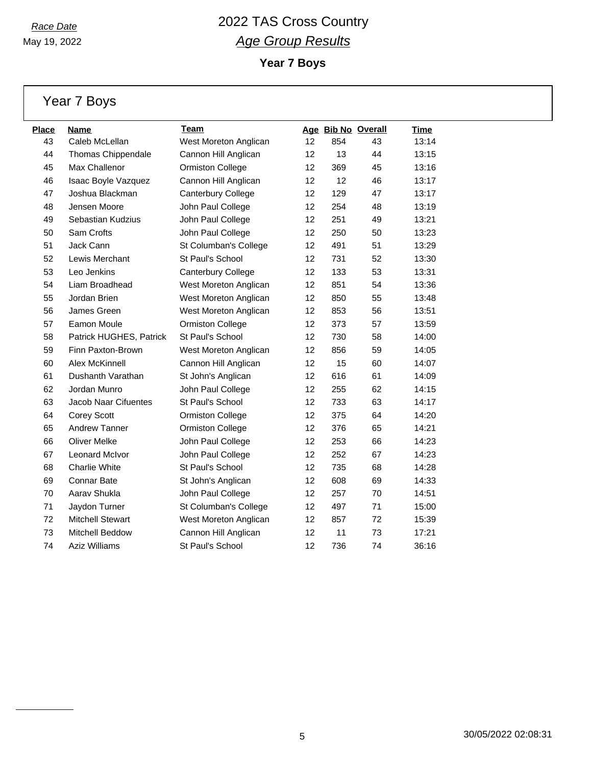**Year 7 Boys**

Year 7 Boys

| Place | <b>Name</b>             | <b>Team</b>               |    | Age Bib No Overall |    | <b>Time</b> |
|-------|-------------------------|---------------------------|----|--------------------|----|-------------|
| 43    | Caleb McLellan          | West Moreton Anglican     | 12 | 854                | 43 | 13:14       |
| 44    | Thomas Chippendale      | Cannon Hill Anglican      | 12 | 13                 | 44 | 13:15       |
| 45    | Max Challenor           | <b>Ormiston College</b>   | 12 | 369                | 45 | 13:16       |
| 46    | Isaac Boyle Vazquez     | Cannon Hill Anglican      | 12 | 12                 | 46 | 13:17       |
| 47    | Joshua Blackman         | <b>Canterbury College</b> | 12 | 129                | 47 | 13:17       |
| 48    | Jensen Moore            | John Paul College         | 12 | 254                | 48 | 13:19       |
| 49    | Sebastian Kudzius       | John Paul College         | 12 | 251                | 49 | 13:21       |
| 50    | Sam Crofts              | John Paul College         | 12 | 250                | 50 | 13:23       |
| 51    | Jack Cann               | St Columban's College     | 12 | 491                | 51 | 13:29       |
| 52    | Lewis Merchant          | St Paul's School          | 12 | 731                | 52 | 13:30       |
| 53    | Leo Jenkins             | Canterbury College        | 12 | 133                | 53 | 13:31       |
| 54    | Liam Broadhead          | West Moreton Anglican     | 12 | 851                | 54 | 13:36       |
| 55    | Jordan Brien            | West Moreton Anglican     | 12 | 850                | 55 | 13:48       |
| 56    | James Green             | West Moreton Anglican     | 12 | 853                | 56 | 13:51       |
| 57    | Eamon Moule             | <b>Ormiston College</b>   | 12 | 373                | 57 | 13:59       |
| 58    | Patrick HUGHES, Patrick | St Paul's School          | 12 | 730                | 58 | 14:00       |
| 59    | Finn Paxton-Brown       | West Moreton Anglican     | 12 | 856                | 59 | 14:05       |
| 60    | Alex McKinnell          | Cannon Hill Anglican      | 12 | 15                 | 60 | 14:07       |
| 61    | Dushanth Varathan       | St John's Anglican        | 12 | 616                | 61 | 14:09       |
| 62    | Jordan Munro            | John Paul College         | 12 | 255                | 62 | 14:15       |
| 63    | Jacob Naar Cifuentes    | St Paul's School          | 12 | 733                | 63 | 14:17       |
| 64    | Corey Scott             | <b>Ormiston College</b>   | 12 | 375                | 64 | 14:20       |
| 65    | <b>Andrew Tanner</b>    | <b>Ormiston College</b>   | 12 | 376                | 65 | 14:21       |
| 66    | <b>Oliver Melke</b>     | John Paul College         | 12 | 253                | 66 | 14:23       |
| 67    | <b>Leonard McIvor</b>   | John Paul College         | 12 | 252                | 67 | 14:23       |
| 68    | <b>Charlie White</b>    | St Paul's School          | 12 | 735                | 68 | 14:28       |
| 69    | Connar Bate             | St John's Anglican        | 12 | 608                | 69 | 14:33       |
| 70    | Aarav Shukla            | John Paul College         | 12 | 257                | 70 | 14:51       |
| 71    | Jaydon Turner           | St Columban's College     | 12 | 497                | 71 | 15:00       |
| 72    | <b>Mitchell Stewart</b> | West Moreton Anglican     | 12 | 857                | 72 | 15:39       |
| 73    | Mitchell Beddow         | Cannon Hill Anglican      | 12 | 11                 | 73 | 17:21       |
| 74    | <b>Aziz Williams</b>    | St Paul's School          | 12 | 736                | 74 | 36:16       |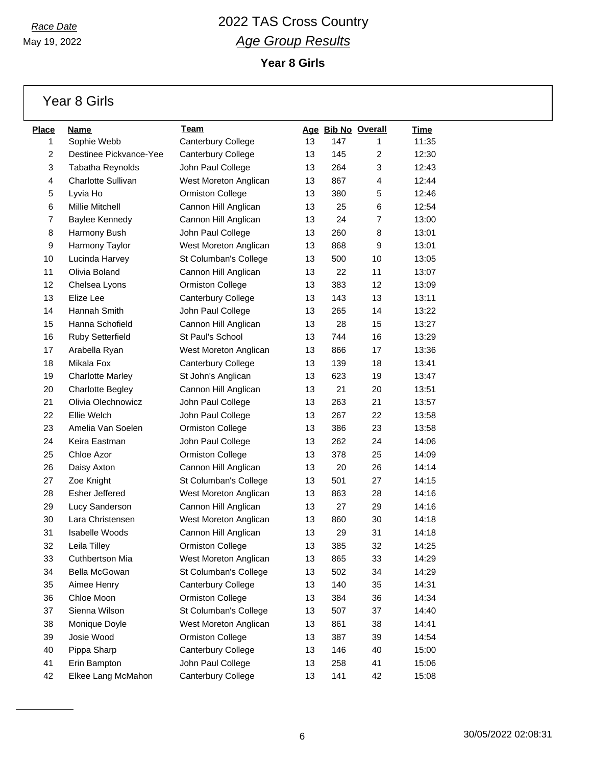May 19, 2022

**Year 8 Girls**

Year 8 Girls

| <b>Place</b>   | Name                      | Team                    |    |     | Age Bib No Overall | Time  |
|----------------|---------------------------|-------------------------|----|-----|--------------------|-------|
| 1              | Sophie Webb               | Canterbury College      | 13 | 147 | 1                  | 11:35 |
| $\overline{c}$ | Destinee Pickvance-Yee    | Canterbury College      | 13 | 145 | $\overline{c}$     | 12:30 |
| 3              | Tabatha Reynolds          | John Paul College       | 13 | 264 | 3                  | 12:43 |
| 4              | <b>Charlotte Sullivan</b> | West Moreton Anglican   | 13 | 867 | $\overline{4}$     | 12:44 |
| 5              | Lyvia Ho                  | <b>Ormiston College</b> | 13 | 380 | 5                  | 12:46 |
| 6              | Millie Mitchell           | Cannon Hill Anglican    | 13 | 25  | 6                  | 12:54 |
| 7              | Baylee Kennedy            | Cannon Hill Anglican    | 13 | 24  | $\overline{7}$     | 13:00 |
| 8              | Harmony Bush              | John Paul College       | 13 | 260 | 8                  | 13:01 |
| 9              | Harmony Taylor            | West Moreton Anglican   | 13 | 868 | 9                  | 13:01 |
| 10             | Lucinda Harvey            | St Columban's College   | 13 | 500 | 10                 | 13:05 |
| 11             | Olivia Boland             | Cannon Hill Anglican    | 13 | 22  | 11                 | 13:07 |
| 12             | Chelsea Lyons             | Ormiston College        | 13 | 383 | 12                 | 13:09 |
| 13             | Elize Lee                 | Canterbury College      | 13 | 143 | 13                 | 13:11 |
| 14             | Hannah Smith              | John Paul College       | 13 | 265 | 14                 | 13:22 |
| 15             | Hanna Schofield           | Cannon Hill Anglican    | 13 | 28  | 15                 | 13:27 |
| 16             | <b>Ruby Setterfield</b>   | St Paul's School        | 13 | 744 | 16                 | 13:29 |
| 17             | Arabella Ryan             | West Moreton Anglican   | 13 | 866 | 17                 | 13:36 |
| 18             | Mikala Fox                | Canterbury College      | 13 | 139 | 18                 | 13:41 |
| 19             | <b>Charlotte Marley</b>   | St John's Anglican      | 13 | 623 | 19                 | 13:47 |
| 20             | <b>Charlotte Begley</b>   | Cannon Hill Anglican    | 13 | 21  | 20                 | 13:51 |
| 21             | Olivia Olechnowicz        | John Paul College       | 13 | 263 | 21                 | 13:57 |
| 22             | Ellie Welch               | John Paul College       | 13 | 267 | 22                 | 13:58 |
| 23             | Amelia Van Soelen         | Ormiston College        | 13 | 386 | 23                 | 13:58 |
| 24             | Keira Eastman             | John Paul College       | 13 | 262 | 24                 | 14:06 |
| 25             | Chloe Azor                | <b>Ormiston College</b> | 13 | 378 | 25                 | 14:09 |
| 26             | Daisy Axton               | Cannon Hill Anglican    | 13 | 20  | 26                 | 14:14 |
| 27             | Zoe Knight                | St Columban's College   | 13 | 501 | 27                 | 14:15 |
| 28             | <b>Esher Jeffered</b>     | West Moreton Anglican   | 13 | 863 | 28                 | 14:16 |
| 29             | Lucy Sanderson            | Cannon Hill Anglican    | 13 | 27  | 29                 | 14:16 |
| 30             | Lara Christensen          | West Moreton Anglican   | 13 | 860 | 30                 | 14:18 |
| 31             | <b>Isabelle Woods</b>     | Cannon Hill Anglican    | 13 | 29  | 31                 | 14:18 |
| 32             | Leila Tilley              | Ormiston College        | 13 | 385 | 32                 | 14:25 |
| 33             | Cuthbertson Mia           | West Moreton Anglican   | 13 | 865 | 33                 | 14:29 |
| 34             | Bella McGowan             | St Columban's College   | 13 | 502 | 34                 | 14:29 |
| 35             | Aimee Henry               | Canterbury College      | 13 | 140 | 35                 | 14:31 |
| 36             | Chloe Moon                | <b>Ormiston College</b> | 13 | 384 | 36                 | 14:34 |
| 37             | Sienna Wilson             | St Columban's College   | 13 | 507 | 37                 | 14:40 |
| 38             | Monique Doyle             | West Moreton Anglican   | 13 | 861 | 38                 | 14:41 |
| 39             | Josie Wood                | Ormiston College        | 13 | 387 | 39                 | 14:54 |
| 40             | Pippa Sharp               | Canterbury College      | 13 | 146 | 40                 | 15:00 |
| 41             | Erin Bampton              | John Paul College       | 13 | 258 | 41                 | 15:06 |
| 42             | Elkee Lang McMahon        | Canterbury College      | 13 | 141 | 42                 | 15:08 |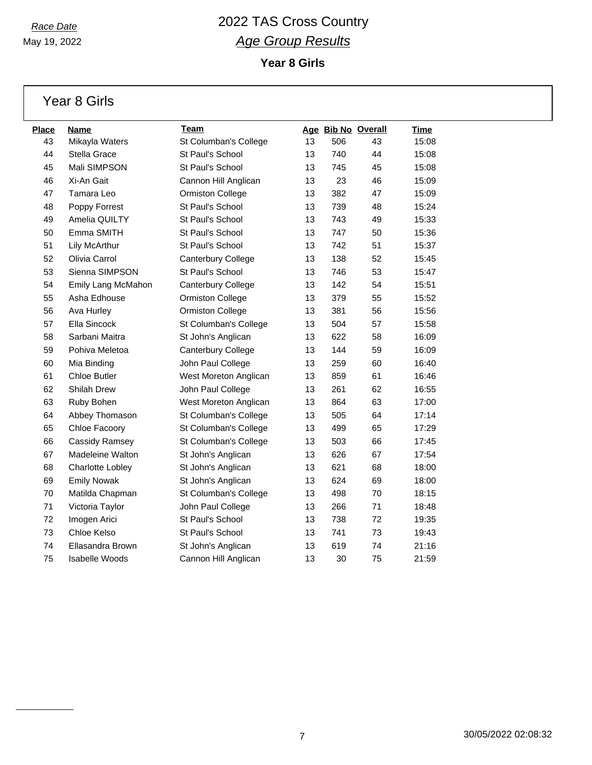**Year 8 Girls**

|  | Year 8 Girls |
|--|--------------|
|  |              |

| <b>Place</b> | Name                  | Team                    |    |     | Age Bib No Overall | <u>Time</u> |
|--------------|-----------------------|-------------------------|----|-----|--------------------|-------------|
| 43           | Mikayla Waters        | St Columban's College   | 13 | 506 | 43                 | 15:08       |
| 44           | Stella Grace          | St Paul's School        | 13 | 740 | 44                 | 15:08       |
| 45           | Mali SIMPSON          | St Paul's School        | 13 | 745 | 45                 | 15:08       |
| 46           | Xi-An Gait            | Cannon Hill Anglican    | 13 | 23  | 46                 | 15:09       |
| 47           | Tamara Leo            | <b>Ormiston College</b> | 13 | 382 | 47                 | 15:09       |
| 48           | Poppy Forrest         | St Paul's School        | 13 | 739 | 48                 | 15:24       |
| 49           | Amelia QUILTY         | St Paul's School        | 13 | 743 | 49                 | 15:33       |
| 50           | Emma SMITH            | St Paul's School        | 13 | 747 | 50                 | 15:36       |
| 51           | Lily McArthur         | St Paul's School        | 13 | 742 | 51                 | 15:37       |
| 52           | Olivia Carrol         | Canterbury College      | 13 | 138 | 52                 | 15:45       |
| 53           | Sienna SIMPSON        | St Paul's School        | 13 | 746 | 53                 | 15:47       |
| 54           | Emily Lang McMahon    | Canterbury College      | 13 | 142 | 54                 | 15:51       |
| 55           | Asha Edhouse          | <b>Ormiston College</b> | 13 | 379 | 55                 | 15:52       |
| 56           | Ava Hurley            | <b>Ormiston College</b> | 13 | 381 | 56                 | 15:56       |
| 57           | Ella Sincock          | St Columban's College   | 13 | 504 | 57                 | 15:58       |
| 58           | Sarbani Maitra        | St John's Anglican      | 13 | 622 | 58                 | 16:09       |
| 59           | Pohiva Meletoa        | Canterbury College      | 13 | 144 | 59                 | 16:09       |
| 60           | Mia Binding           | John Paul College       | 13 | 259 | 60                 | 16:40       |
| 61           | <b>Chloe Butler</b>   | West Moreton Anglican   | 13 | 859 | 61                 | 16:46       |
| 62           | <b>Shilah Drew</b>    | John Paul College       | 13 | 261 | 62                 | 16:55       |
| 63           | Ruby Bohen            | West Moreton Anglican   | 13 | 864 | 63                 | 17:00       |
| 64           | Abbey Thomason        | St Columban's College   | 13 | 505 | 64                 | 17:14       |
| 65           | Chloe Facoory         | St Columban's College   | 13 | 499 | 65                 | 17:29       |
| 66           | Cassidy Ramsey        | St Columban's College   | 13 | 503 | 66                 | 17:45       |
| 67           | Madeleine Walton      | St John's Anglican      | 13 | 626 | 67                 | 17:54       |
| 68           | Charlotte Lobley      | St John's Anglican      | 13 | 621 | 68                 | 18:00       |
| 69           | <b>Emily Nowak</b>    | St John's Anglican      | 13 | 624 | 69                 | 18:00       |
| 70           | Matilda Chapman       | St Columban's College   | 13 | 498 | 70                 | 18:15       |
| 71           | Victoria Taylor       | John Paul College       | 13 | 266 | 71                 | 18:48       |
| 72           | Imogen Arici          | St Paul's School        | 13 | 738 | 72                 | 19:35       |
| 73           | Chloe Kelso           | St Paul's School        | 13 | 741 | 73                 | 19:43       |
| 74           | Ellasandra Brown      | St John's Anglican      | 13 | 619 | 74                 | 21:16       |
| 75           | <b>Isabelle Woods</b> | Cannon Hill Anglican    | 13 | 30  | 75                 | 21:59       |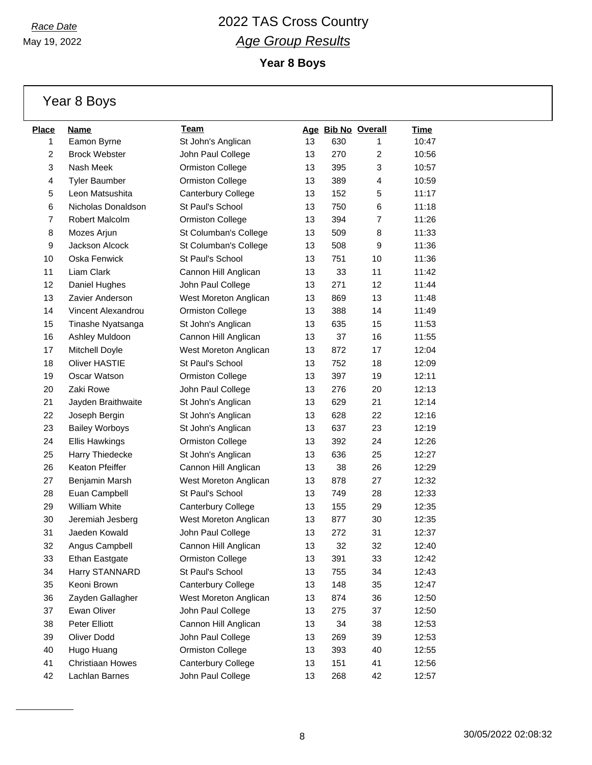May 19, 2022

**Year 8 Boys**

| Year 8 Boys |  |  |
|-------------|--|--|
|-------------|--|--|

| <b>Place</b> | Name                  | Team                    |    | Age Bib No Overall |                | <b>Time</b> |
|--------------|-----------------------|-------------------------|----|--------------------|----------------|-------------|
| 1            | Eamon Byrne           | St John's Anglican      | 13 | 630                | 1              | 10:47       |
| 2            | <b>Brock Webster</b>  | John Paul College       | 13 | 270                | $\overline{c}$ | 10:56       |
| 3            | Nash Meek             | <b>Ormiston College</b> | 13 | 395                | 3              | 10:57       |
| 4            | <b>Tyler Baumber</b>  | <b>Ormiston College</b> | 13 | 389                | 4              | 10:59       |
| 5            | Leon Matsushita       | Canterbury College      | 13 | 152                | 5              | 11:17       |
| 6            | Nicholas Donaldson    | St Paul's School        | 13 | 750                | 6              | 11:18       |
| 7            | Robert Malcolm        | <b>Ormiston College</b> | 13 | 394                | 7              | 11:26       |
| 8            | Mozes Arjun           | St Columban's College   | 13 | 509                | 8              | 11:33       |
| 9            | Jackson Alcock        | St Columban's College   | 13 | 508                | 9              | 11:36       |
| 10           | Oska Fenwick          | St Paul's School        | 13 | 751                | 10             | 11:36       |
| 11           | Liam Clark            | Cannon Hill Anglican    | 13 | 33                 | 11             | 11:42       |
| 12           | Daniel Hughes         | John Paul College       | 13 | 271                | 12             | 11:44       |
| 13           | Zavier Anderson       | West Moreton Anglican   | 13 | 869                | 13             | 11:48       |
| 14           | Vincent Alexandrou    | <b>Ormiston College</b> | 13 | 388                | 14             | 11:49       |
| 15           | Tinashe Nyatsanga     | St John's Anglican      | 13 | 635                | 15             | 11:53       |
| 16           | Ashley Muldoon        | Cannon Hill Anglican    | 13 | 37                 | 16             | 11:55       |
| 17           | Mitchell Doyle        | West Moreton Anglican   | 13 | 872                | 17             | 12:04       |
| 18           | <b>Oliver HASTIE</b>  | St Paul's School        | 13 | 752                | 18             | 12:09       |
| 19           | Oscar Watson          | <b>Ormiston College</b> | 13 | 397                | 19             | 12:11       |
| 20           | Zaki Rowe             | John Paul College       | 13 | 276                | 20             | 12:13       |
| 21           | Jayden Braithwaite    | St John's Anglican      | 13 | 629                | 21             | 12:14       |
| 22           | Joseph Bergin         | St John's Anglican      | 13 | 628                | 22             | 12:16       |
| 23           | <b>Bailey Worboys</b> | St John's Anglican      | 13 | 637                | 23             | 12:19       |
| 24           | Ellis Hawkings        | <b>Ormiston College</b> | 13 | 392                | 24             | 12:26       |
| 25           | Harry Thiedecke       | St John's Anglican      | 13 | 636                | 25             | 12:27       |
| 26           | Keaton Pfeiffer       | Cannon Hill Anglican    | 13 | 38                 | 26             | 12:29       |
| 27           | Benjamin Marsh        | West Moreton Anglican   | 13 | 878                | 27             | 12:32       |
| 28           | Euan Campbell         | St Paul's School        | 13 | 749                | 28             | 12:33       |
| 29           | <b>William White</b>  | Canterbury College      | 13 | 155                | 29             | 12:35       |
| 30           | Jeremiah Jesberg      | West Moreton Anglican   | 13 | 877                | 30             | 12:35       |
| 31           | Jaeden Kowald         | John Paul College       | 13 | 272                | 31             | 12:37       |
| 32           | Angus Campbell        | Cannon Hill Anglican    | 13 | 32                 | 32             | 12:40       |
| 33           | <b>Ethan Eastgate</b> | <b>Ormiston College</b> | 13 | 391                | 33             | 12:42       |
| 34           | Harry STANNARD        | St Paul's School        | 13 | 755                | 34             | 12:43       |
| 35           | Keoni Brown           | Canterbury College      | 13 | 148                | 35             | 12:47       |
| 36           | Zayden Gallagher      | West Moreton Anglican   | 13 | 874                | 36             | 12:50       |
| 37           | Ewan Oliver           | John Paul College       | 13 | 275                | 37             | 12:50       |
| 38           | Peter Elliott         | Cannon Hill Anglican    | 13 | 34                 | 38             | 12:53       |
| 39           | Oliver Dodd           | John Paul College       | 13 | 269                | 39             | 12:53       |
| 40           | Hugo Huang            | <b>Ormiston College</b> | 13 | 393                | 40             | 12:55       |
| 41           | Christiaan Howes      | Canterbury College      | 13 | 151                | 41             | 12:56       |
| 42           | Lachlan Barnes        | John Paul College       | 13 | 268                | 42             | 12:57       |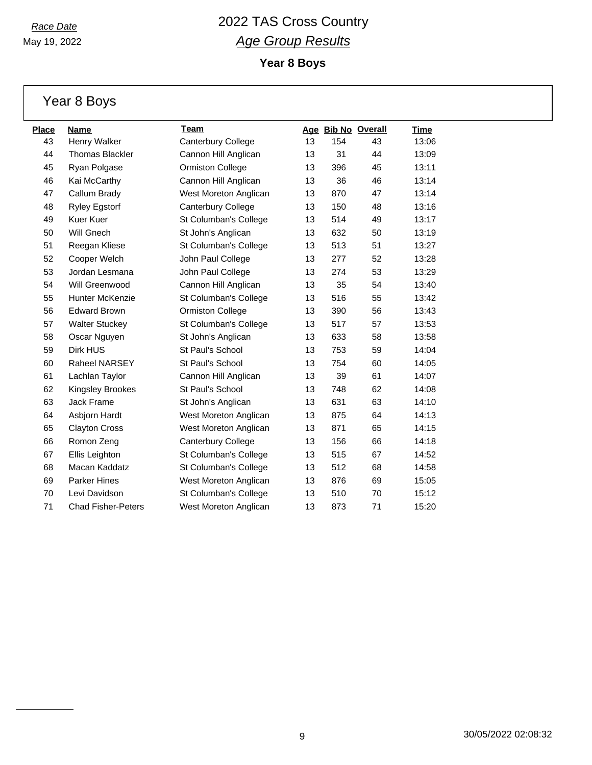May 19, 2022

**Year 8 Boys**

|  | Year 8 Boys |
|--|-------------|
|  |             |

| <b>Place</b> | <b>Name</b>               | <u>Team</u>             |    | Age Bib No Overall |    | <b>Time</b> |
|--------------|---------------------------|-------------------------|----|--------------------|----|-------------|
| 43           | Henry Walker              | Canterbury College      | 13 | 154                | 43 | 13:06       |
| 44           | <b>Thomas Blackler</b>    | Cannon Hill Anglican    | 13 | 31                 | 44 | 13:09       |
| 45           | Ryan Polgase              | <b>Ormiston College</b> | 13 | 396                | 45 | 13:11       |
| 46           | Kai McCarthy              | Cannon Hill Anglican    | 13 | 36                 | 46 | 13:14       |
| 47           | Callum Brady              | West Moreton Anglican   | 13 | 870                | 47 | 13:14       |
| 48           | <b>Ryley Egstorf</b>      | Canterbury College      | 13 | 150                | 48 | 13:16       |
| 49           | <b>Kuer Kuer</b>          | St Columban's College   | 13 | 514                | 49 | 13:17       |
| 50           | Will Gnech                | St John's Anglican      | 13 | 632                | 50 | 13:19       |
| 51           | Reegan Kliese             | St Columban's College   | 13 | 513                | 51 | 13:27       |
| 52           | Cooper Welch              | John Paul College       | 13 | 277                | 52 | 13:28       |
| 53           | Jordan Lesmana            | John Paul College       | 13 | 274                | 53 | 13:29       |
| 54           | Will Greenwood            | Cannon Hill Anglican    | 13 | 35                 | 54 | 13:40       |
| 55           | <b>Hunter McKenzie</b>    | St Columban's College   | 13 | 516                | 55 | 13:42       |
| 56           | <b>Edward Brown</b>       | <b>Ormiston College</b> | 13 | 390                | 56 | 13:43       |
| 57           | <b>Walter Stuckey</b>     | St Columban's College   | 13 | 517                | 57 | 13:53       |
| 58           | Oscar Nguyen              | St John's Anglican      | 13 | 633                | 58 | 13:58       |
| 59           | Dirk HUS                  | St Paul's School        | 13 | 753                | 59 | 14:04       |
| 60           | Raheel NARSEY             | St Paul's School        | 13 | 754                | 60 | 14:05       |
| 61           | Lachlan Taylor            | Cannon Hill Anglican    | 13 | 39                 | 61 | 14:07       |
| 62           | Kingsley Brookes          | St Paul's School        | 13 | 748                | 62 | 14:08       |
| 63           | Jack Frame                | St John's Anglican      | 13 | 631                | 63 | 14:10       |
| 64           | Asbjorn Hardt             | West Moreton Anglican   | 13 | 875                | 64 | 14:13       |
| 65           | <b>Clayton Cross</b>      | West Moreton Anglican   | 13 | 871                | 65 | 14:15       |
| 66           | Romon Zeng                | Canterbury College      | 13 | 156                | 66 | 14:18       |
| 67           | Ellis Leighton            | St Columban's College   | 13 | 515                | 67 | 14:52       |
| 68           | Macan Kaddatz             | St Columban's College   | 13 | 512                | 68 | 14:58       |
| 69           | Parker Hines              | West Moreton Anglican   | 13 | 876                | 69 | 15:05       |
| 70           | Levi Davidson             | St Columban's College   | 13 | 510                | 70 | 15:12       |
| 71           | <b>Chad Fisher-Peters</b> | West Moreton Anglican   | 13 | 873                | 71 | 15:20       |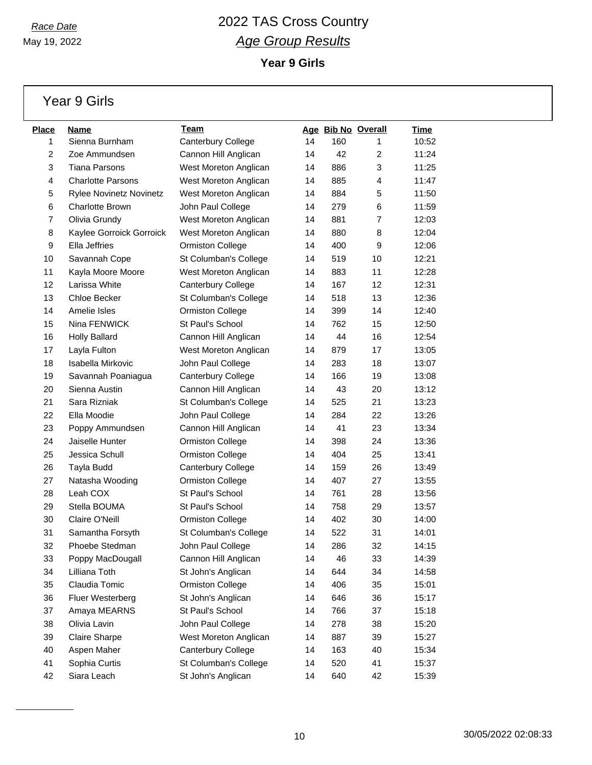May 19, 2022

**Year 9 Girls**

Year 9 Girls

| <b>Place</b>   | Name                           | Team                    |    | Age Bib No Overall |                | Time  |
|----------------|--------------------------------|-------------------------|----|--------------------|----------------|-------|
| 1              | Sienna Burnham                 | Canterbury College      | 14 | 160                | 1              | 10:52 |
| $\overline{c}$ | Zoe Ammundsen                  | Cannon Hill Anglican    | 14 | 42                 | $\overline{c}$ | 11:24 |
| 3              | <b>Tiana Parsons</b>           | West Moreton Anglican   | 14 | 886                | 3              | 11:25 |
| 4              | <b>Charlotte Parsons</b>       | West Moreton Anglican   | 14 | 885                | 4              | 11:47 |
| 5              | <b>Rylee Novinetz Novinetz</b> | West Moreton Anglican   | 14 | 884                | 5              | 11:50 |
| 6              | <b>Charlotte Brown</b>         | John Paul College       | 14 | 279                | 6              | 11:59 |
| 7              | Olivia Grundy                  | West Moreton Anglican   | 14 | 881                | $\overline{7}$ | 12:03 |
| 8              | Kaylee Gorroick Gorroick       | West Moreton Anglican   | 14 | 880                | 8              | 12:04 |
| 9              | Ella Jeffries                  | <b>Ormiston College</b> | 14 | 400                | 9              | 12:06 |
| 10             | Savannah Cope                  | St Columban's College   | 14 | 519                | 10             | 12:21 |
| 11             | Kayla Moore Moore              | West Moreton Anglican   | 14 | 883                | 11             | 12:28 |
| 12             | Larissa White                  | Canterbury College      | 14 | 167                | 12             | 12:31 |
| 13             | Chloe Becker                   | St Columban's College   | 14 | 518                | 13             | 12:36 |
| 14             | Amelie Isles                   | <b>Ormiston College</b> | 14 | 399                | 14             | 12:40 |
| 15             | Nina FENWICK                   | St Paul's School        | 14 | 762                | 15             | 12:50 |
| 16             | <b>Holly Ballard</b>           | Cannon Hill Anglican    | 14 | 44                 | 16             | 12:54 |
| 17             | Layla Fulton                   | West Moreton Anglican   | 14 | 879                | 17             | 13:05 |
| 18             | Isabella Mirkovic              | John Paul College       | 14 | 283                | 18             | 13:07 |
| 19             | Savannah Poaniagua             | Canterbury College      | 14 | 166                | 19             | 13:08 |
| 20             | Sienna Austin                  | Cannon Hill Anglican    | 14 | 43                 | 20             | 13:12 |
| 21             | Sara Rizniak                   | St Columban's College   | 14 | 525                | 21             | 13:23 |
| 22             | Ella Moodie                    | John Paul College       | 14 | 284                | 22             | 13:26 |
| 23             | Poppy Ammundsen                | Cannon Hill Anglican    | 14 | 41                 | 23             | 13:34 |
| 24             | Jaiselle Hunter                | Ormiston College        | 14 | 398                | 24             | 13:36 |
| 25             | Jessica Schull                 | <b>Ormiston College</b> | 14 | 404                | 25             | 13:41 |
| 26             | Tayla Budd                     | Canterbury College      | 14 | 159                | 26             | 13:49 |
| 27             | Natasha Wooding                | <b>Ormiston College</b> | 14 | 407                | 27             | 13:55 |
| 28             | Leah COX                       | St Paul's School        | 14 | 761                | 28             | 13:56 |
| 29             | Stella BOUMA                   | St Paul's School        | 14 | 758                | 29             | 13:57 |
| 30             | Claire O'Neill                 | Ormiston College        | 14 | 402                | 30             | 14:00 |
| 31             | Samantha Forsyth               | St Columban's College   | 14 | 522                | 31             | 14:01 |
| 32             | Phoebe Stedman                 | John Paul College       | 14 | 286                | 32             | 14:15 |
| 33             | Poppy MacDougall               | Cannon Hill Anglican    | 14 | 46                 | 33             | 14:39 |
| 34             | Lilliana Toth                  | St John's Anglican      | 14 | 644                | 34             | 14:58 |
| 35             | Claudia Tomic                  | Ormiston College        | 14 | 406                | 35             | 15:01 |
| 36             | Fluer Westerberg               | St John's Anglican      | 14 | 646                | 36             | 15:17 |
| 37             | Amaya MEARNS                   | St Paul's School        | 14 | 766                | 37             | 15:18 |
| 38             | Olivia Lavin                   | John Paul College       | 14 | 278                | 38             | 15:20 |
| 39             | <b>Claire Sharpe</b>           | West Moreton Anglican   | 14 | 887                | 39             | 15:27 |
| 40             | Aspen Maher                    | Canterbury College      | 14 | 163                | 40             | 15:34 |
| 41             | Sophia Curtis                  | St Columban's College   | 14 | 520                | 41             | 15:37 |
| 42             | Siara Leach                    | St John's Anglican      | 14 | 640                | 42             | 15:39 |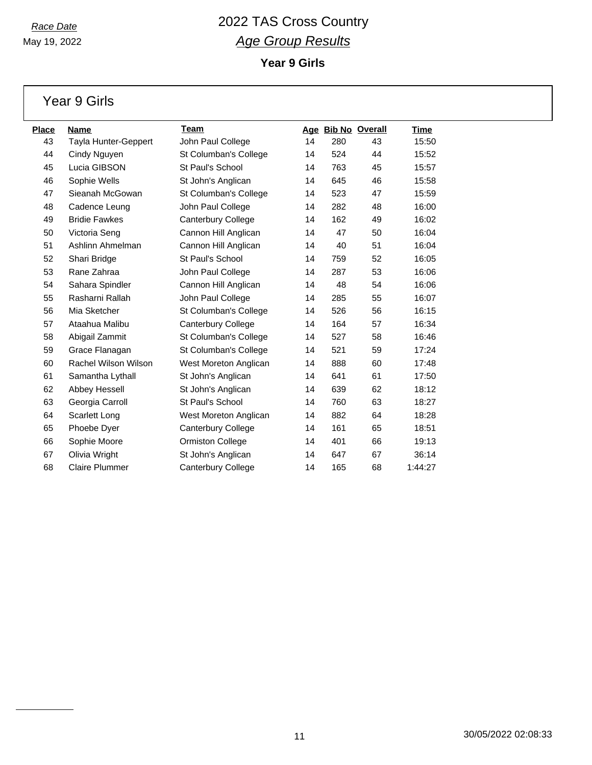**Year 9 Girls**

Year 9 Girls

| Place | <b>Name</b>                 | Team                      |    |     | Age Bib No Overall | <u>Time</u> |
|-------|-----------------------------|---------------------------|----|-----|--------------------|-------------|
| 43    | Tayla Hunter-Geppert        | John Paul College         | 14 | 280 | 43                 | 15:50       |
| 44    | Cindy Nguyen                | St Columban's College     | 14 | 524 | 44                 | 15:52       |
| 45    | Lucia GIBSON                | St Paul's School          | 14 | 763 | 45                 | 15:57       |
| 46    | Sophie Wells                | St John's Anglican        | 14 | 645 | 46                 | 15:58       |
| 47    | Sieanah McGowan             | St Columban's College     | 14 | 523 | 47                 | 15:59       |
| 48    | Cadence Leung               | John Paul College         | 14 | 282 | 48                 | 16:00       |
| 49    | <b>Bridie Fawkes</b>        | Canterbury College        | 14 | 162 | 49                 | 16:02       |
| 50    | Victoria Seng               | Cannon Hill Anglican      | 14 | 47  | 50                 | 16:04       |
| 51    | Ashlinn Ahmelman            | Cannon Hill Anglican      | 14 | 40  | 51                 | 16:04       |
| 52    | Shari Bridge                | St Paul's School          | 14 | 759 | 52                 | 16:05       |
| 53    | Rane Zahraa                 | John Paul College         | 14 | 287 | 53                 | 16:06       |
| 54    | Sahara Spindler             | Cannon Hill Anglican      | 14 | 48  | 54                 | 16:06       |
| 55    | Rasharni Rallah             | John Paul College         | 14 | 285 | 55                 | 16:07       |
| 56    | Mia Sketcher                | St Columban's College     | 14 | 526 | 56                 | 16:15       |
| 57    | Ataahua Malibu              | <b>Canterbury College</b> | 14 | 164 | 57                 | 16:34       |
| 58    | Abigail Zammit              | St Columban's College     | 14 | 527 | 58                 | 16:46       |
| 59    | Grace Flanagan              | St Columban's College     | 14 | 521 | 59                 | 17:24       |
| 60    | <b>Rachel Wilson Wilson</b> | West Moreton Anglican     | 14 | 888 | 60                 | 17:48       |
| 61    | Samantha Lythall            | St John's Anglican        | 14 | 641 | 61                 | 17:50       |
| 62    | Abbey Hessell               | St John's Anglican        | 14 | 639 | 62                 | 18:12       |
| 63    | Georgia Carroll             | St Paul's School          | 14 | 760 | 63                 | 18:27       |
| 64    | Scarlett Long               | West Moreton Anglican     | 14 | 882 | 64                 | 18:28       |
| 65    | Phoebe Dyer                 | <b>Canterbury College</b> | 14 | 161 | 65                 | 18:51       |
| 66    | Sophie Moore                | <b>Ormiston College</b>   | 14 | 401 | 66                 | 19:13       |
| 67    | Olivia Wright               | St John's Anglican        | 14 | 647 | 67                 | 36:14       |
| 68    | <b>Claire Plummer</b>       | <b>Canterbury College</b> | 14 | 165 | 68                 | 1:44:27     |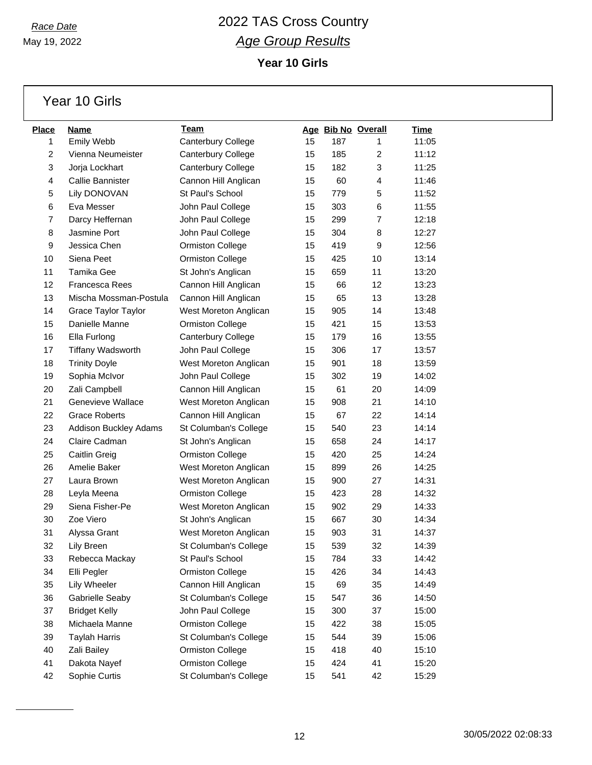May 19, 2022

### *Race Date* 2022 TAS Cross Country *Age Group Results* **Year 10 Girls**

Year 10 Girls

| <b>Place</b>   | Name                         | Team                    |    |     | Age Bib No Overall | <b>Time</b> |
|----------------|------------------------------|-------------------------|----|-----|--------------------|-------------|
| 1              | Emily Webb                   | Canterbury College      | 15 | 187 | 1                  | 11:05       |
| $\overline{c}$ | Vienna Neumeister            | Canterbury College      | 15 | 185 | $\overline{2}$     | 11:12       |
| 3              | Jorja Lockhart               | Canterbury College      | 15 | 182 | 3                  | 11:25       |
| 4              | Callie Bannister             | Cannon Hill Anglican    | 15 | 60  | 4                  | 11:46       |
| 5              | Lily DONOVAN                 | St Paul's School        | 15 | 779 | 5                  | 11:52       |
| 6              | Eva Messer                   | John Paul College       | 15 | 303 | 6                  | 11:55       |
| 7              | Darcy Heffernan              | John Paul College       | 15 | 299 | $\overline{7}$     | 12:18       |
| 8              | Jasmine Port                 | John Paul College       | 15 | 304 | 8                  | 12:27       |
| 9              | Jessica Chen                 | <b>Ormiston College</b> | 15 | 419 | 9                  | 12:56       |
| 10             | Siena Peet                   | <b>Ormiston College</b> | 15 | 425 | 10                 | 13:14       |
| 11             | Tamika Gee                   | St John's Anglican      | 15 | 659 | 11                 | 13:20       |
| 12             | Francesca Rees               | Cannon Hill Anglican    | 15 | 66  | 12                 | 13:23       |
| 13             | Mischa Mossman-Postula       | Cannon Hill Anglican    | 15 | 65  | 13                 | 13:28       |
| 14             | <b>Grace Taylor Taylor</b>   | West Moreton Anglican   | 15 | 905 | 14                 | 13:48       |
| 15             | Danielle Manne               | <b>Ormiston College</b> | 15 | 421 | 15                 | 13:53       |
| 16             | Ella Furlong                 | Canterbury College      | 15 | 179 | 16                 | 13:55       |
| 17             | <b>Tiffany Wadsworth</b>     | John Paul College       | 15 | 306 | 17                 | 13:57       |
| 18             | <b>Trinity Doyle</b>         | West Moreton Anglican   | 15 | 901 | 18                 | 13:59       |
| 19             | Sophia McIvor                | John Paul College       | 15 | 302 | 19                 | 14:02       |
| 20             | Zali Campbell                | Cannon Hill Anglican    | 15 | 61  | 20                 | 14:09       |
| 21             | Genevieve Wallace            | West Moreton Anglican   | 15 | 908 | 21                 | 14:10       |
| 22             | <b>Grace Roberts</b>         | Cannon Hill Anglican    | 15 | 67  | 22                 | 14:14       |
| 23             | <b>Addison Buckley Adams</b> | St Columban's College   | 15 | 540 | 23                 | 14:14       |
| 24             | Claire Cadman                | St John's Anglican      | 15 | 658 | 24                 | 14:17       |
| 25             | Caitlin Greig                | <b>Ormiston College</b> | 15 | 420 | 25                 | 14:24       |
| 26             | Amelie Baker                 | West Moreton Anglican   | 15 | 899 | 26                 | 14:25       |
| 27             | Laura Brown                  | West Moreton Anglican   | 15 | 900 | 27                 | 14:31       |
| 28             | Leyla Meena                  | <b>Ormiston College</b> | 15 | 423 | 28                 | 14:32       |
| 29             | Siena Fisher-Pe              | West Moreton Anglican   | 15 | 902 | 29                 | 14:33       |
| 30             | Zoe Viero                    | St John's Anglican      | 15 | 667 | 30                 | 14:34       |
| 31             | Alyssa Grant                 | West Moreton Anglican   | 15 | 903 | 31                 | 14:37       |
| 32             | Lily Breen                   | St Columban's College   | 15 | 539 | 32                 | 14:39       |
| 33             | Rebecca Mackay               | St Paul's School        | 15 | 784 | 33                 | 14:42       |
| 34             | Elli Pegler                  | <b>Ormiston College</b> | 15 | 426 | 34                 | 14:43       |
| 35             | Lily Wheeler                 | Cannon Hill Anglican    | 15 | 69  | 35                 | 14:49       |
| 36             | Gabrielle Seaby              | St Columban's College   | 15 | 547 | 36                 | 14:50       |
| 37             | <b>Bridget Kelly</b>         | John Paul College       | 15 | 300 | 37                 | 15:00       |
| 38             | Michaela Manne               | Ormiston College        | 15 | 422 | 38                 | 15:05       |
| 39             | <b>Taylah Harris</b>         | St Columban's College   | 15 | 544 | 39                 | 15:06       |
| 40             | Zali Bailey                  | <b>Ormiston College</b> | 15 | 418 | 40                 | 15:10       |
| 41             | Dakota Nayef                 | <b>Ormiston College</b> | 15 | 424 | 41                 | 15:20       |
| 42             | Sophie Curtis                | St Columban's College   | 15 | 541 | 42                 | 15:29       |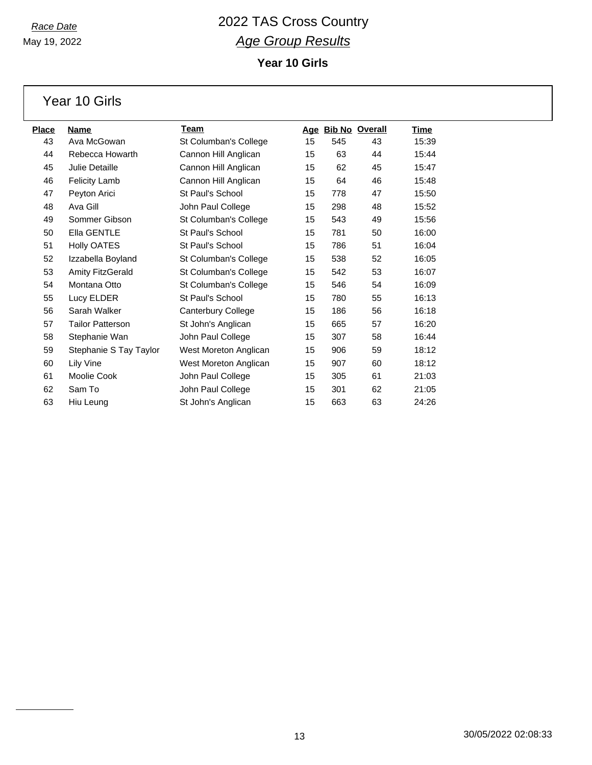May 19, 2022

### *Race Date* 2022 TAS Cross Country *Age Group Results* **Year 10 Girls**

Year 10 Girls

| <u>Place</u> | Name                    | Team                      |    |     | Age Bib No Overall | <b>Time</b> |
|--------------|-------------------------|---------------------------|----|-----|--------------------|-------------|
| 43           | Ava McGowan             | St Columban's College     | 15 | 545 | 43                 | 15:39       |
| 44           | Rebecca Howarth         | Cannon Hill Anglican      | 15 | 63  | 44                 | 15:44       |
| 45           | Julie Detaille          | Cannon Hill Anglican      | 15 | 62  | 45                 | 15:47       |
| 46           | <b>Felicity Lamb</b>    | Cannon Hill Anglican      | 15 | 64  | 46                 | 15:48       |
| 47           | Peyton Arici            | St Paul's School          | 15 | 778 | 47                 | 15:50       |
| 48           | Ava Gill                | John Paul College         | 15 | 298 | 48                 | 15:52       |
| 49           | Sommer Gibson           | St Columban's College     | 15 | 543 | 49                 | 15:56       |
| 50           | Ella GENTLE             | St Paul's School          | 15 | 781 | 50                 | 16:00       |
| 51           | <b>Holly OATES</b>      | St Paul's School          | 15 | 786 | 51                 | 16:04       |
| 52           | Izzabella Boyland       | St Columban's College     | 15 | 538 | 52                 | 16:05       |
| 53           | <b>Amity FitzGerald</b> | St Columban's College     | 15 | 542 | 53                 | 16:07       |
| 54           | Montana Otto            | St Columban's College     | 15 | 546 | 54                 | 16:09       |
| 55           | Lucy ELDER              | St Paul's School          | 15 | 780 | 55                 | 16:13       |
| 56           | Sarah Walker            | <b>Canterbury College</b> | 15 | 186 | 56                 | 16:18       |
| 57           | <b>Tailor Patterson</b> | St John's Anglican        | 15 | 665 | 57                 | 16:20       |
| 58           | Stephanie Wan           | John Paul College         | 15 | 307 | 58                 | 16:44       |
| 59           | Stephanie S Tay Taylor  | West Moreton Anglican     | 15 | 906 | 59                 | 18:12       |
| 60           | Lily Vine               | West Moreton Anglican     | 15 | 907 | 60                 | 18:12       |
| 61           | Moolie Cook             | John Paul College         | 15 | 305 | 61                 | 21:03       |
| 62           | Sam To                  | John Paul College         | 15 | 301 | 62                 | 21:05       |
| 63           | Hiu Leung               | St John's Anglican        | 15 | 663 | 63                 | 24:26       |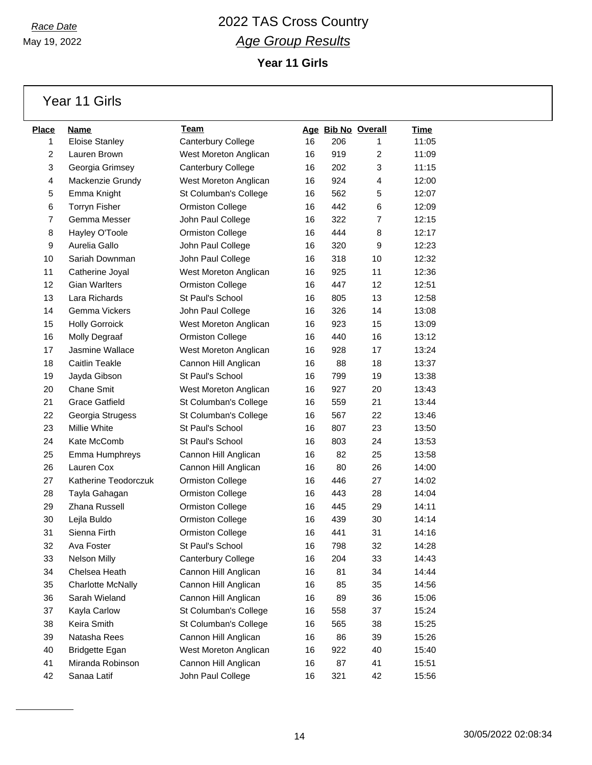May 19, 2022

### *Race Date* 2022 TAS Cross Country *Age Group Results* **Year 11 Girls**

Year 11 Girls

| <b>Place</b> | Name                     | Team                    |    | Age Bib No Overall |                | <b>Time</b> |
|--------------|--------------------------|-------------------------|----|--------------------|----------------|-------------|
| 1            | <b>Eloise Stanley</b>    | Canterbury College      | 16 | 206                | 1              | 11:05       |
| 2            | Lauren Brown             | West Moreton Anglican   | 16 | 919                | $\overline{c}$ | 11:09       |
| 3            | Georgia Grimsey          | Canterbury College      | 16 | 202                | 3              | 11:15       |
| 4            | Mackenzie Grundy         | West Moreton Anglican   | 16 | 924                | 4              | 12:00       |
| 5            | Emma Knight              | St Columban's College   | 16 | 562                | 5              | 12:07       |
| 6            | <b>Torryn Fisher</b>     | <b>Ormiston College</b> | 16 | 442                | 6              | 12:09       |
| 7            | Gemma Messer             | John Paul College       | 16 | 322                | $\overline{7}$ | 12:15       |
| 8            | Hayley O'Toole           | Ormiston College        | 16 | 444                | 8              | 12:17       |
| 9            | Aurelia Gallo            | John Paul College       | 16 | 320                | 9              | 12:23       |
| 10           | Sariah Downman           | John Paul College       | 16 | 318                | 10             | 12:32       |
| 11           | Catherine Joyal          | West Moreton Anglican   | 16 | 925                | 11             | 12:36       |
| 12           | <b>Gian Warlters</b>     | Ormiston College        | 16 | 447                | 12             | 12:51       |
| 13           | Lara Richards            | St Paul's School        | 16 | 805                | 13             | 12:58       |
| 14           | Gemma Vickers            | John Paul College       | 16 | 326                | 14             | 13:08       |
| 15           | <b>Holly Gorroick</b>    | West Moreton Anglican   | 16 | 923                | 15             | 13:09       |
| 16           | Molly Degraaf            | <b>Ormiston College</b> | 16 | 440                | 16             | 13:12       |
| 17           | Jasmine Wallace          | West Moreton Anglican   | 16 | 928                | 17             | 13:24       |
| 18           | <b>Caitlin Teakle</b>    | Cannon Hill Anglican    | 16 | 88                 | 18             | 13:37       |
| 19           | Jayda Gibson             | St Paul's School        | 16 | 799                | 19             | 13:38       |
| 20           | <b>Chane Smit</b>        | West Moreton Anglican   | 16 | 927                | 20             | 13:43       |
| 21           | <b>Grace Gatfield</b>    | St Columban's College   | 16 | 559                | 21             | 13:44       |
| 22           | Georgia Strugess         | St Columban's College   | 16 | 567                | 22             | 13:46       |
| 23           | Millie White             | St Paul's School        | 16 | 807                | 23             | 13:50       |
| 24           | Kate McComb              | St Paul's School        | 16 | 803                | 24             | 13:53       |
| 25           | Emma Humphreys           | Cannon Hill Anglican    | 16 | 82                 | 25             | 13:58       |
| 26           | Lauren Cox               | Cannon Hill Anglican    | 16 | 80                 | 26             | 14:00       |
| 27           | Katherine Teodorczuk     | <b>Ormiston College</b> | 16 | 446                | 27             | 14:02       |
| 28           | Tayla Gahagan            | Ormiston College        | 16 | 443                | 28             | 14:04       |
| 29           | Zhana Russell            | Ormiston College        | 16 | 445                | 29             | 14:11       |
| 30           | Lejla Buldo              | <b>Ormiston College</b> | 16 | 439                | 30             | 14:14       |
| 31           | Sienna Firth             | Ormiston College        | 16 | 441                | 31             | 14:16       |
| 32           | Ava Foster               | St Paul's School        | 16 | 798                | 32             | 14:28       |
| 33           | <b>Nelson Milly</b>      | Canterbury College      | 16 | 204                | 33             | 14:43       |
| 34           | Chelsea Heath            | Cannon Hill Anglican    | 16 | 81                 | 34             | 14:44       |
| 35           | <b>Charlotte McNally</b> | Cannon Hill Anglican    | 16 | 85                 | 35             | 14:56       |
| 36           | Sarah Wieland            | Cannon Hill Anglican    | 16 | 89                 | 36             | 15:06       |
| 37           | Kayla Carlow             | St Columban's College   | 16 | 558                | 37             | 15:24       |
| 38           | Keira Smith              | St Columban's College   | 16 | 565                | 38             | 15:25       |
| 39           | Natasha Rees             | Cannon Hill Anglican    | 16 | 86                 | 39             | 15:26       |
| 40           | <b>Bridgette Egan</b>    | West Moreton Anglican   | 16 | 922                | 40             | 15:40       |
| 41           | Miranda Robinson         | Cannon Hill Anglican    | 16 | 87                 | 41             | 15:51       |
| 42           | Sanaa Latif              | John Paul College       | 16 | 321                | 42             | 15:56       |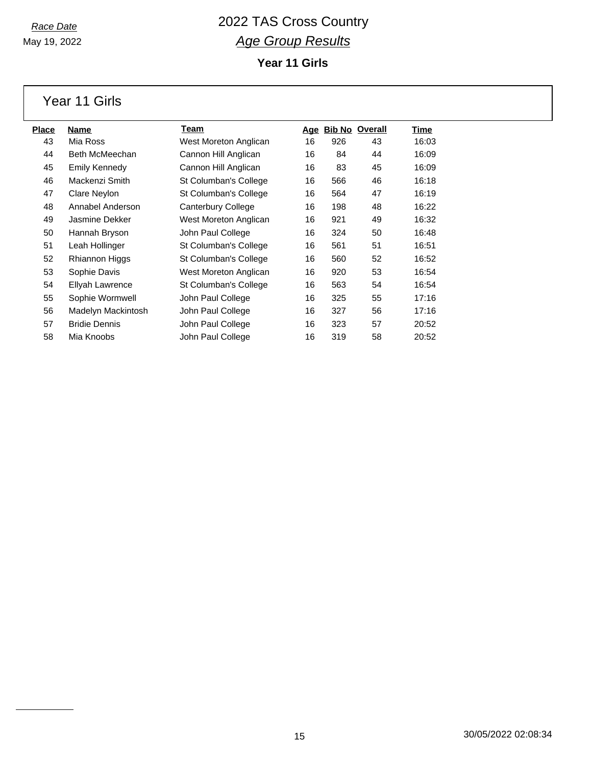May 19, 2022

### *Race Date* 2022 TAS Cross Country *Age Group Results* **Year 11 Girls**

Year 11 Girls

| <u>Place</u> | Name                 | Team                  | <u>Age</u> |     | <b>Bib No Overall</b> | Time  |
|--------------|----------------------|-----------------------|------------|-----|-----------------------|-------|
| 43           | Mia Ross             | West Moreton Anglican | 16         | 926 | 43                    | 16:03 |
| 44           | Beth McMeechan       | Cannon Hill Anglican  | 16         | 84  | 44                    | 16:09 |
| 45           | Emily Kennedy        | Cannon Hill Anglican  | 16         | 83  | 45                    | 16:09 |
| 46           | Mackenzi Smith       | St Columban's College | 16         | 566 | 46                    | 16:18 |
| 47           | Clare Neylon         | St Columban's College | 16         | 564 | 47                    | 16:19 |
| 48           | Annabel Anderson     | Canterbury College    | 16         | 198 | 48                    | 16:22 |
| 49           | Jasmine Dekker       | West Moreton Anglican | 16         | 921 | 49                    | 16:32 |
| 50           | Hannah Bryson        | John Paul College     | 16         | 324 | 50                    | 16:48 |
| 51           | Leah Hollinger       | St Columban's College | 16         | 561 | 51                    | 16:51 |
| 52           | Rhiannon Higgs       | St Columban's College | 16         | 560 | 52                    | 16:52 |
| 53           | Sophie Davis         | West Moreton Anglican | 16         | 920 | 53                    | 16:54 |
| 54           | Ellyah Lawrence      | St Columban's College | 16         | 563 | 54                    | 16:54 |
| 55           | Sophie Wormwell      | John Paul College     | 16         | 325 | 55                    | 17:16 |
| 56           | Madelyn Mackintosh   | John Paul College     | 16         | 327 | 56                    | 17:16 |
| 57           | <b>Bridie Dennis</b> | John Paul College     | 16         | 323 | 57                    | 20:52 |
| 58           | Mia Knoobs           | John Paul College     | 16         | 319 | 58                    | 20:52 |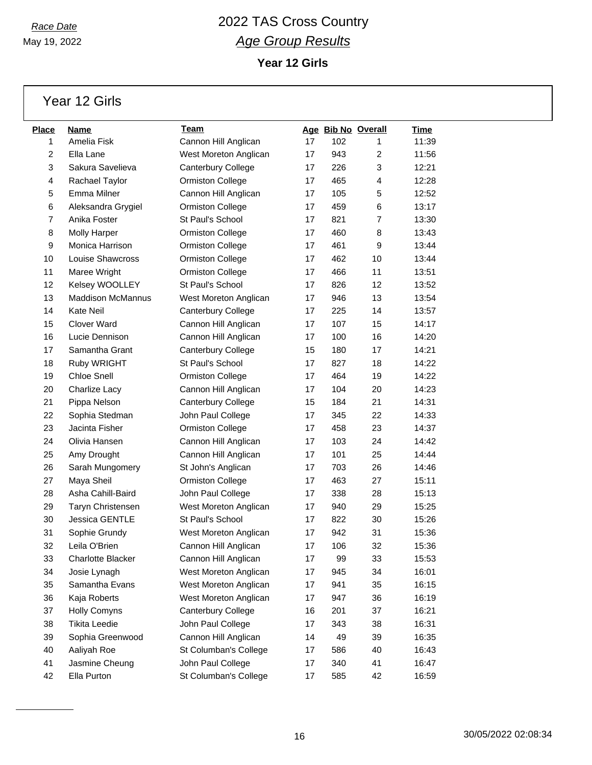May 19, 2022

### *Race Date* 2022 TAS Cross Country *Age Group Results* **Year 12 Girls**

Year 12 Girls

| <b>Place</b> | <b>Name</b>              | Team                    |    |     | Age Bib No Overall | <b>Time</b> |
|--------------|--------------------------|-------------------------|----|-----|--------------------|-------------|
| 1            | Amelia Fisk              | Cannon Hill Anglican    | 17 | 102 | 1                  | 11:39       |
| 2            | Ella Lane                | West Moreton Anglican   | 17 | 943 | 2                  | 11:56       |
| 3            | Sakura Savelieva         | Canterbury College      | 17 | 226 | 3                  | 12:21       |
| 4            | Rachael Taylor           | <b>Ormiston College</b> | 17 | 465 | $\overline{4}$     | 12:28       |
| 5            | Emma Milner              | Cannon Hill Anglican    | 17 | 105 | 5                  | 12:52       |
| 6            | Aleksandra Grygiel       | <b>Ormiston College</b> | 17 | 459 | 6                  | 13:17       |
| 7            | Anika Foster             | St Paul's School        | 17 | 821 | $\overline{7}$     | 13:30       |
| 8            | <b>Molly Harper</b>      | <b>Ormiston College</b> | 17 | 460 | 8                  | 13:43       |
| 9            | Monica Harrison          | <b>Ormiston College</b> | 17 | 461 | 9                  | 13:44       |
| 10           | Louise Shawcross         | Ormiston College        | 17 | 462 | 10                 | 13:44       |
| 11           | Maree Wright             | Ormiston College        | 17 | 466 | 11                 | 13:51       |
| 12           | Kelsey WOOLLEY           | St Paul's School        | 17 | 826 | 12                 | 13:52       |
| 13           | <b>Maddison McMannus</b> | West Moreton Anglican   | 17 | 946 | 13                 | 13:54       |
| 14           | <b>Kate Neil</b>         | Canterbury College      | 17 | 225 | 14                 | 13:57       |
| 15           | <b>Clover Ward</b>       | Cannon Hill Anglican    | 17 | 107 | 15                 | 14:17       |
| 16           | Lucie Dennison           | Cannon Hill Anglican    | 17 | 100 | 16                 | 14:20       |
| 17           | Samantha Grant           | Canterbury College      | 15 | 180 | 17                 | 14:21       |
| 18           | Ruby WRIGHT              | St Paul's School        | 17 | 827 | 18                 | 14:22       |
| 19           | <b>Chloe Snell</b>       | Ormiston College        | 17 | 464 | 19                 | 14:22       |
| 20           | Charlize Lacy            | Cannon Hill Anglican    | 17 | 104 | 20                 | 14:23       |
| 21           | Pippa Nelson             | Canterbury College      | 15 | 184 | 21                 | 14:31       |
| 22           | Sophia Stedman           | John Paul College       | 17 | 345 | 22                 | 14:33       |
| 23           | Jacinta Fisher           | Ormiston College        | 17 | 458 | 23                 | 14:37       |
| 24           | Olivia Hansen            | Cannon Hill Anglican    | 17 | 103 | 24                 | 14:42       |
| 25           | Amy Drought              | Cannon Hill Anglican    | 17 | 101 | 25                 | 14:44       |
| 26           | Sarah Mungomery          | St John's Anglican      | 17 | 703 | 26                 | 14:46       |
| 27           | Maya Sheil               | Ormiston College        | 17 | 463 | 27                 | 15:11       |
| 28           | Asha Cahill-Baird        | John Paul College       | 17 | 338 | 28                 | 15:13       |
| 29           | Taryn Christensen        | West Moreton Anglican   | 17 | 940 | 29                 | 15:25       |
| 30           | Jessica GENTLE           | St Paul's School        | 17 | 822 | 30                 | 15:26       |
| 31           | Sophie Grundy            | West Moreton Anglican   | 17 | 942 | 31                 | 15:36       |
| 32           | Leila O'Brien            | Cannon Hill Anglican    | 17 | 106 | 32                 | 15:36       |
| 33           | Charlotte Blacker        | Cannon Hill Anglican    | 17 | 99  | 33                 | 15:53       |
| 34           | Josie Lynagh             | West Moreton Anglican   | 17 | 945 | 34                 | 16:01       |
| 35           | Samantha Evans           | West Moreton Anglican   | 17 | 941 | 35                 | 16:15       |
| 36           | Kaja Roberts             | West Moreton Anglican   | 17 | 947 | 36                 | 16:19       |
| 37           | Holly Comyns             | Canterbury College      | 16 | 201 | 37                 | 16:21       |
| 38           | <b>Tikita Leedie</b>     | John Paul College       | 17 | 343 | 38                 | 16:31       |
| 39           | Sophia Greenwood         | Cannon Hill Anglican    | 14 | 49  | 39                 | 16:35       |
| 40           | Aaliyah Roe              | St Columban's College   | 17 | 586 | 40                 | 16:43       |
| 41           | Jasmine Cheung           | John Paul College       | 17 | 340 | 41                 | 16:47       |
| 42           | Ella Purton              | St Columban's College   | 17 | 585 | 42                 | 16:59       |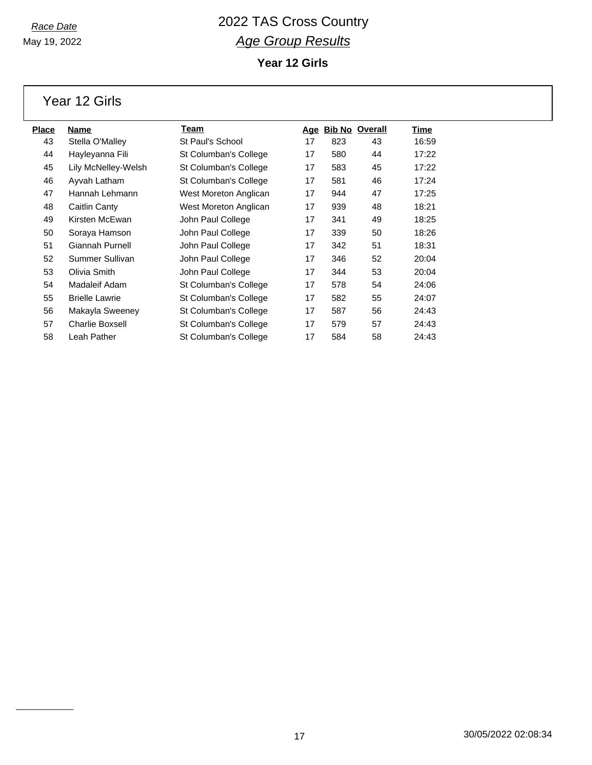May 19, 2022

### *Race Date* 2022 TAS Cross Country *Age Group Results* **Year 12 Girls**

Year 12 Girls

| <u>Place</u> | Name                   | Team                  | Age |     | <b>Bib No Overall</b> | Time  |
|--------------|------------------------|-----------------------|-----|-----|-----------------------|-------|
| 43           | Stella O'Malley        | St Paul's School      | 17  | 823 | 43                    | 16:59 |
| 44           | Hayleyanna Fili        | St Columban's College | 17  | 580 | 44                    | 17:22 |
| 45           | Lily McNelley-Welsh    | St Columban's College | 17  | 583 | 45                    | 17:22 |
| 46           | Ayvah Latham           | St Columban's College | 17  | 581 | 46                    | 17:24 |
| 47           | Hannah Lehmann         | West Moreton Anglican | 17  | 944 | 47                    | 17:25 |
| 48           | Caitlin Canty          | West Moreton Anglican | 17  | 939 | 48                    | 18:21 |
| 49           | Kirsten McEwan         | John Paul College     | 17  | 341 | 49                    | 18:25 |
| 50           | Soraya Hamson          | John Paul College     | 17  | 339 | 50                    | 18:26 |
| 51           | Giannah Purnell        | John Paul College     | 17  | 342 | 51                    | 18:31 |
| 52           | Summer Sullivan        | John Paul College     | 17  | 346 | 52                    | 20:04 |
| 53           | Olivia Smith           | John Paul College     | 17  | 344 | 53                    | 20:04 |
| 54           | Madaleif Adam          | St Columban's College | 17  | 578 | 54                    | 24:06 |
| 55           | <b>Brielle Lawrie</b>  | St Columban's College | 17  | 582 | 55                    | 24:07 |
| 56           | Makayla Sweeney        | St Columban's College | 17  | 587 | 56                    | 24:43 |
| 57           | <b>Charlie Boxsell</b> | St Columban's College | 17  | 579 | 57                    | 24:43 |
| 58           | Leah Pather            | St Columban's College | 17  | 584 | 58                    | 24:43 |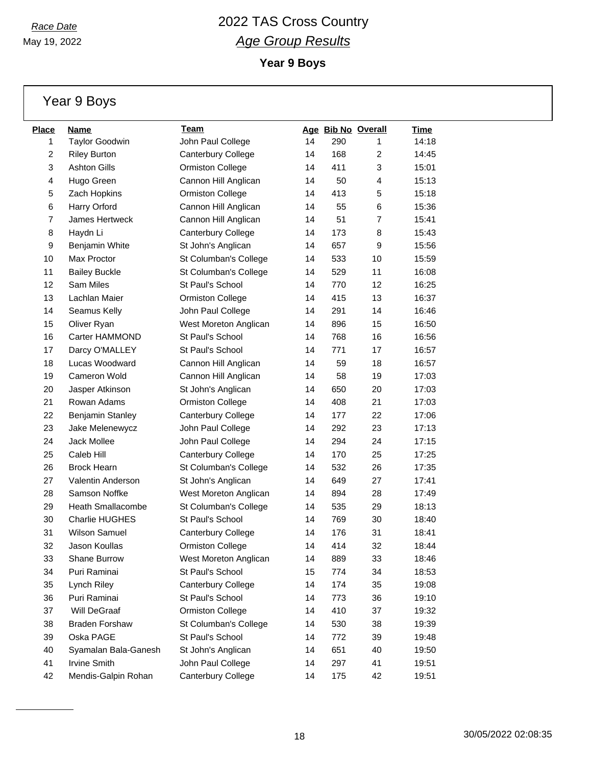May 19, 2022

**Year 9 Boys**

|  | Year 9 Boys |
|--|-------------|
|--|-------------|

| <b>Place</b> | Name                     | Team                    |    |     | Age Bib No Overall | Time  |
|--------------|--------------------------|-------------------------|----|-----|--------------------|-------|
| 1            | <b>Taylor Goodwin</b>    | John Paul College       | 14 | 290 | 1                  | 14:18 |
| 2            | <b>Riley Burton</b>      | Canterbury College      | 14 | 168 | $\overline{2}$     | 14:45 |
| 3            | <b>Ashton Gills</b>      | <b>Ormiston College</b> | 14 | 411 | 3                  | 15:01 |
| 4            | Hugo Green               | Cannon Hill Anglican    | 14 | 50  | 4                  | 15:13 |
| 5            | Zach Hopkins             | <b>Ormiston College</b> | 14 | 413 | 5                  | 15:18 |
| 6            | Harry Orford             | Cannon Hill Anglican    | 14 | 55  | 6                  | 15:36 |
| 7            | James Hertweck           | Cannon Hill Anglican    | 14 | 51  | $\overline{7}$     | 15:41 |
| 8            | Haydn Li                 | Canterbury College      | 14 | 173 | 8                  | 15:43 |
| 9            | Benjamin White           | St John's Anglican      | 14 | 657 | 9                  | 15:56 |
| 10           | Max Proctor              | St Columban's College   | 14 | 533 | 10                 | 15:59 |
| 11           | <b>Bailey Buckle</b>     | St Columban's College   | 14 | 529 | 11                 | 16:08 |
| 12           | Sam Miles                | St Paul's School        | 14 | 770 | 12                 | 16:25 |
| 13           | Lachlan Maier            | <b>Ormiston College</b> | 14 | 415 | 13                 | 16:37 |
| 14           | Seamus Kelly             | John Paul College       | 14 | 291 | 14                 | 16:46 |
| 15           | Oliver Ryan              | West Moreton Anglican   | 14 | 896 | 15                 | 16:50 |
| 16           | Carter HAMMOND           | St Paul's School        | 14 | 768 | 16                 | 16:56 |
| 17           | Darcy O'MALLEY           | St Paul's School        | 14 | 771 | 17                 | 16:57 |
| 18           | Lucas Woodward           | Cannon Hill Anglican    | 14 | 59  | 18                 | 16:57 |
| 19           | Cameron Wold             | Cannon Hill Anglican    | 14 | 58  | 19                 | 17:03 |
| 20           | Jasper Atkinson          | St John's Anglican      | 14 | 650 | 20                 | 17:03 |
| 21           | Rowan Adams              | <b>Ormiston College</b> | 14 | 408 | 21                 | 17:03 |
| 22           | Benjamin Stanley         | Canterbury College      | 14 | 177 | 22                 | 17:06 |
| 23           | Jake Melenewycz          | John Paul College       | 14 | 292 | 23                 | 17:13 |
| 24           | Jack Mollee              | John Paul College       | 14 | 294 | 24                 | 17:15 |
| 25           | Caleb Hill               | Canterbury College      | 14 | 170 | 25                 | 17:25 |
| 26           | <b>Brock Hearn</b>       | St Columban's College   | 14 | 532 | 26                 | 17:35 |
| 27           | Valentin Anderson        | St John's Anglican      | 14 | 649 | 27                 | 17:41 |
| 28           | Samson Noffke            | West Moreton Anglican   | 14 | 894 | 28                 | 17:49 |
| 29           | <b>Heath Smallacombe</b> | St Columban's College   | 14 | 535 | 29                 | 18:13 |
| 30           | <b>Charlie HUGHES</b>    | St Paul's School        | 14 | 769 | 30                 | 18:40 |
| 31           | <b>Wilson Samuel</b>     | Canterbury College      | 14 | 176 | 31                 | 18:41 |
| 32           | Jason Koullas            | <b>Ormiston College</b> | 14 | 414 | 32                 | 18:44 |
| 33           | Shane Burrow             | West Moreton Anglican   | 14 | 889 | 33                 | 18:46 |
| 34           | Puri Raminai             | St Paul's School        | 15 | 774 | 34                 | 18:53 |
| 35           | Lynch Riley              | Canterbury College      | 14 | 174 | 35                 | 19:08 |
| 36           | Puri Raminai             | St Paul's School        | 14 | 773 | 36                 | 19:10 |
| 37           | Will DeGraaf             | <b>Ormiston College</b> | 14 | 410 | 37                 | 19:32 |
| 38           | <b>Braden Forshaw</b>    | St Columban's College   | 14 | 530 | 38                 | 19:39 |
| 39           | Oska PAGE                | St Paul's School        | 14 | 772 | 39                 | 19:48 |
| 40           | Syamalan Bala-Ganesh     | St John's Anglican      | 14 | 651 | 40                 | 19:50 |
| 41           | <b>Irvine Smith</b>      | John Paul College       | 14 | 297 | 41                 | 19:51 |
| 42           | Mendis-Galpin Rohan      | Canterbury College      | 14 | 175 | 42                 | 19:51 |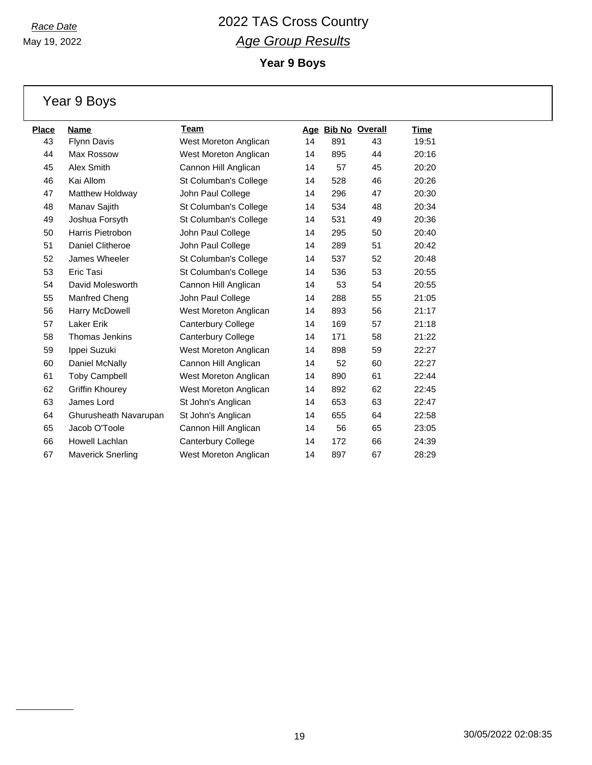May 19, 2022

**Year 9 Boys**

|              | Year 9 Boys              |                           |    |                    |    |       |
|--------------|--------------------------|---------------------------|----|--------------------|----|-------|
| <b>Place</b> | <b>Name</b>              | Team                      |    | Age Bib No Overall |    | Time  |
| 43           | Flynn Davis              | West Moreton Anglican     | 14 | 891                | 43 | 19:51 |
| 44           | Max Rossow               | West Moreton Anglican     | 14 | 895                | 44 | 20:16 |
| 45           | Alex Smith               | Cannon Hill Anglican      | 14 | 57                 | 45 | 20:20 |
| 46           | Kai Allom                | St Columban's College     | 14 | 528                | 46 | 20:26 |
| 47           | Matthew Holdway          | John Paul College         | 14 | 296                | 47 | 20:30 |
| 48           | Manav Sajith             | St Columban's College     | 14 | 534                | 48 | 20:34 |
| 49           | Joshua Forsyth           | St Columban's College     | 14 | 531                | 49 | 20:36 |
| 50           | Harris Pietrobon         | John Paul College         | 14 | 295                | 50 | 20:40 |
| 51           | Daniel Clitheroe         | John Paul College         | 14 | 289                | 51 | 20:42 |
| 52           | James Wheeler            | St Columban's College     | 14 | 537                | 52 | 20:48 |
| 53           | Eric Tasi                | St Columban's College     | 14 | 536                | 53 | 20:55 |
| 54           | David Molesworth         | Cannon Hill Anglican      | 14 | 53                 | 54 | 20:55 |
| 55           | Manfred Cheng            | John Paul College         | 14 | 288                | 55 | 21:05 |
| 56           | Harry McDowell           | West Moreton Anglican     | 14 | 893                | 56 | 21:17 |
| 57           | Laker Erik               | <b>Canterbury College</b> | 14 | 169                | 57 | 21:18 |
| 58           | <b>Thomas Jenkins</b>    | Canterbury College        | 14 | 171                | 58 | 21:22 |
| 59           | Ippei Suzuki             | West Moreton Anglican     | 14 | 898                | 59 | 22:27 |
| 60           | Daniel McNally           | Cannon Hill Anglican      | 14 | 52                 | 60 | 22:27 |
| 61           | <b>Toby Campbell</b>     | West Moreton Anglican     | 14 | 890                | 61 | 22:44 |
| 62           | Griffin Khourey          | West Moreton Anglican     | 14 | 892                | 62 | 22:45 |
| 63           | James Lord               | St John's Anglican        | 14 | 653                | 63 | 22:47 |
| 64           | Ghurusheath Navarupan    | St John's Anglican        | 14 | 655                | 64 | 22:58 |
| 65           | Jacob O'Toole            | Cannon Hill Anglican      | 14 | 56                 | 65 | 23:05 |
| 66           | Howell Lachlan           | Canterbury College        | 14 | 172                | 66 | 24:39 |
| 67           | <b>Maverick Snerling</b> | West Moreton Anglican     | 14 | 897                | 67 | 28:29 |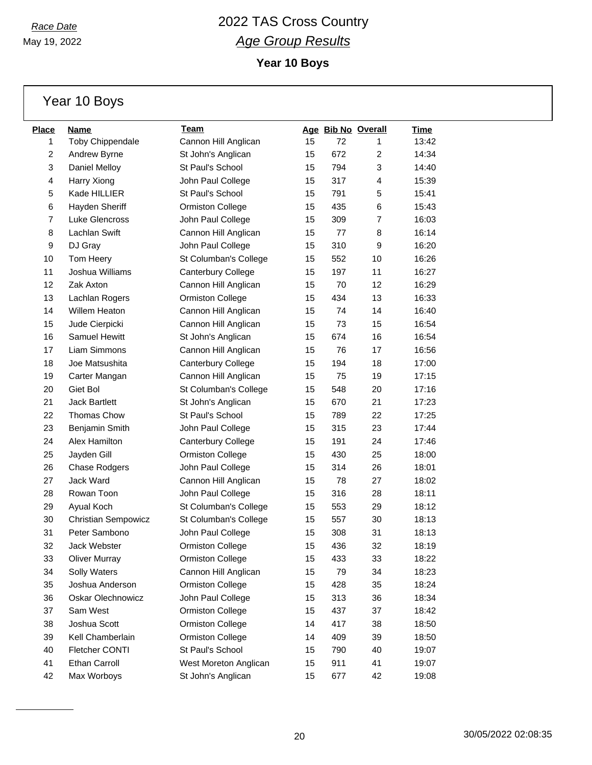May 19, 2022

**Year 10 Boys**

Year 10 Boys

| <b>Place</b>   | Name                       | Team                    |    |     | Age Bib No Overall | Time  |
|----------------|----------------------------|-------------------------|----|-----|--------------------|-------|
| 1              | <b>Toby Chippendale</b>    | Cannon Hill Anglican    | 15 | 72  | 1                  | 13:42 |
| $\overline{c}$ | Andrew Byrne               | St John's Anglican      | 15 | 672 | $\overline{2}$     | 14:34 |
| 3              | Daniel Melloy              | St Paul's School        | 15 | 794 | 3                  | 14:40 |
| 4              | Harry Xiong                | John Paul College       | 15 | 317 | 4                  | 15:39 |
| 5              | Kade HILLIER               | St Paul's School        | 15 | 791 | 5                  | 15:41 |
| 6              | Hayden Sheriff             | <b>Ormiston College</b> | 15 | 435 | 6                  | 15:43 |
| 7              | Luke Glencross             | John Paul College       | 15 | 309 | $\overline{7}$     | 16:03 |
| 8              | Lachlan Swift              | Cannon Hill Anglican    | 15 | 77  | 8                  | 16:14 |
| 9              | DJ Gray                    | John Paul College       | 15 | 310 | 9                  | 16:20 |
| 10             | Tom Heery                  | St Columban's College   | 15 | 552 | 10                 | 16:26 |
| 11             | Joshua Williams            | Canterbury College      | 15 | 197 | 11                 | 16:27 |
| 12             | Zak Axton                  | Cannon Hill Anglican    | 15 | 70  | 12                 | 16:29 |
| 13             | Lachlan Rogers             | <b>Ormiston College</b> | 15 | 434 | 13                 | 16:33 |
| 14             | <b>Willem Heaton</b>       | Cannon Hill Anglican    | 15 | 74  | 14                 | 16:40 |
| 15             | Jude Cierpicki             | Cannon Hill Anglican    | 15 | 73  | 15                 | 16:54 |
| 16             | <b>Samuel Hewitt</b>       | St John's Anglican      | 15 | 674 | 16                 | 16:54 |
| 17             | Liam Simmons               | Cannon Hill Anglican    | 15 | 76  | 17                 | 16:56 |
| 18             | Joe Matsushita             | Canterbury College      | 15 | 194 | 18                 | 17:00 |
| 19             | Carter Mangan              | Cannon Hill Anglican    | 15 | 75  | 19                 | 17:15 |
| 20             | Giet Bol                   | St Columban's College   | 15 | 548 | 20                 | 17:16 |
| 21             | <b>Jack Bartlett</b>       | St John's Anglican      | 15 | 670 | 21                 | 17:23 |
| 22             | <b>Thomas Chow</b>         | St Paul's School        | 15 | 789 | 22                 | 17:25 |
| 23             | Benjamin Smith             | John Paul College       | 15 | 315 | 23                 | 17:44 |
| 24             | Alex Hamilton              | Canterbury College      | 15 | 191 | 24                 | 17:46 |
| 25             | Jayden Gill                | <b>Ormiston College</b> | 15 | 430 | 25                 | 18:00 |
| 26             | <b>Chase Rodgers</b>       | John Paul College       | 15 | 314 | 26                 | 18:01 |
| 27             | Jack Ward                  | Cannon Hill Anglican    | 15 | 78  | 27                 | 18:02 |
| 28             | Rowan Toon                 | John Paul College       | 15 | 316 | 28                 | 18:11 |
| 29             | Ayual Koch                 | St Columban's College   | 15 | 553 | 29                 | 18:12 |
| 30             | <b>Christian Sempowicz</b> | St Columban's College   | 15 | 557 | 30                 | 18:13 |
| 31             | Peter Sambono              | John Paul College       | 15 | 308 | 31                 | 18:13 |
| 32             | Jack Webster               | <b>Ormiston College</b> | 15 | 436 | 32                 | 18:19 |
| 33             | <b>Oliver Murray</b>       | <b>Ormiston College</b> | 15 | 433 | 33                 | 18:22 |
| 34             | Solly Waters               | Cannon Hill Anglican    | 15 | 79  | 34                 | 18:23 |
| 35             | Joshua Anderson            | Ormiston College        | 15 | 428 | 35                 | 18:24 |
| 36             | <b>Oskar Olechnowicz</b>   | John Paul College       | 15 | 313 | 36                 | 18:34 |
| 37             | Sam West                   | Ormiston College        | 15 | 437 | 37                 | 18:42 |
| 38             | Joshua Scott               | Ormiston College        | 14 | 417 | 38                 | 18:50 |
| 39             | Kell Chamberlain           | Ormiston College        | 14 | 409 | 39                 | 18:50 |
| 40             | Fletcher CONTI             | St Paul's School        | 15 | 790 | 40                 | 19:07 |
| 41             | Ethan Carroll              | West Moreton Anglican   | 15 | 911 | 41                 | 19:07 |
| 42             | Max Worboys                | St John's Anglican      | 15 | 677 | 42                 | 19:08 |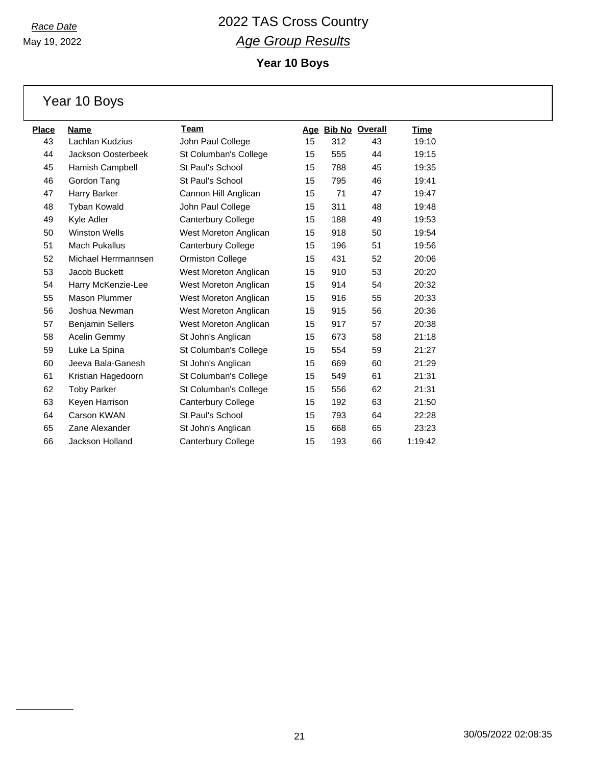**Year 10 Boys**

Year 10 Boys

| <b>Place</b> | <b>Name</b>             | <b>Team</b>               |    |     | Age Bib No Overall | <u>Time</u> |
|--------------|-------------------------|---------------------------|----|-----|--------------------|-------------|
| 43           | Lachlan Kudzius         | John Paul College         | 15 | 312 | 43                 | 19:10       |
| 44           | Jackson Oosterbeek      | St Columban's College     | 15 | 555 | 44                 | 19:15       |
| 45           | Hamish Campbell         | St Paul's School          | 15 | 788 | 45                 | 19:35       |
| 46           | Gordon Tang             | St Paul's School          | 15 | 795 | 46                 | 19:41       |
| 47           | Harry Barker            | Cannon Hill Anglican      | 15 | 71  | 47                 | 19:47       |
| 48           | Tyban Kowald            | John Paul College         | 15 | 311 | 48                 | 19:48       |
| 49           | Kyle Adler              | Canterbury College        | 15 | 188 | 49                 | 19:53       |
| 50           | <b>Winston Wells</b>    | West Moreton Anglican     | 15 | 918 | 50                 | 19:54       |
| 51           | <b>Mach Pukallus</b>    | Canterbury College        | 15 | 196 | 51                 | 19:56       |
| 52           | Michael Herrmannsen     | <b>Ormiston College</b>   | 15 | 431 | 52                 | 20:06       |
| 53           | Jacob Buckett           | West Moreton Anglican     | 15 | 910 | 53                 | 20:20       |
| 54           | Harry McKenzie-Lee      | West Moreton Anglican     | 15 | 914 | 54                 | 20:32       |
| 55           | <b>Mason Plummer</b>    | West Moreton Anglican     | 15 | 916 | 55                 | 20:33       |
| 56           | Joshua Newman           | West Moreton Anglican     | 15 | 915 | 56                 | 20:36       |
| 57           | <b>Benjamin Sellers</b> | West Moreton Anglican     | 15 | 917 | 57                 | 20:38       |
| 58           | Acelin Gemmy            | St John's Anglican        | 15 | 673 | 58                 | 21:18       |
| 59           | Luke La Spina           | St Columban's College     | 15 | 554 | 59                 | 21:27       |
| 60           | Jeeva Bala-Ganesh       | St John's Anglican        | 15 | 669 | 60                 | 21:29       |
| 61           | Kristian Hagedoorn      | St Columban's College     | 15 | 549 | 61                 | 21:31       |
| 62           | <b>Toby Parker</b>      | St Columban's College     | 15 | 556 | 62                 | 21:31       |
| 63           | Keyen Harrison          | <b>Canterbury College</b> | 15 | 192 | 63                 | 21:50       |
| 64           | Carson KWAN             | St Paul's School          | 15 | 793 | 64                 | 22:28       |
| 65           | Zane Alexander          | St John's Anglican        | 15 | 668 | 65                 | 23:23       |
| 66           | Jackson Holland         | Canterbury College        | 15 | 193 | 66                 | 1:19:42     |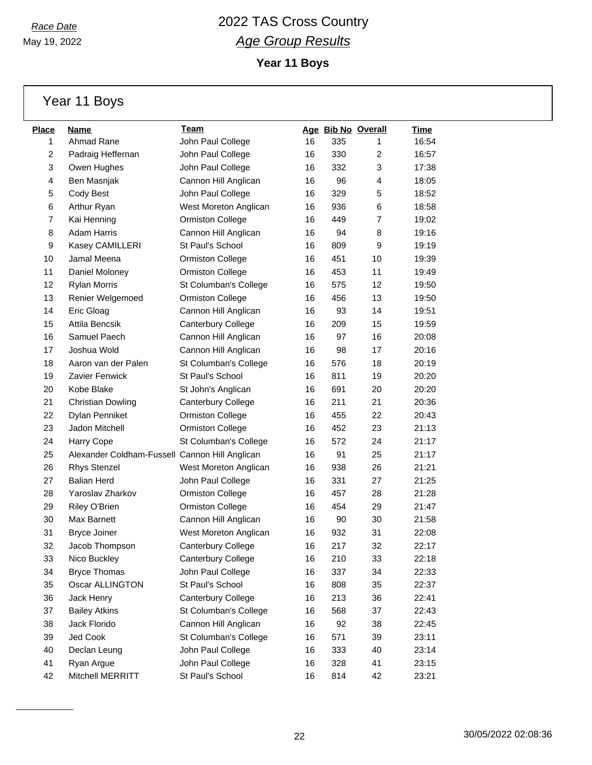May 19, 2022

### *Race Date* 2022 TAS Cross Country *Age Group Results*

**Year 11 Boys**

Year 11 Boys

| <b>Place</b> | Name                                           | Team                    |    |     | Age Bib No Overall | Time  |
|--------------|------------------------------------------------|-------------------------|----|-----|--------------------|-------|
| 1            | Ahmad Rane                                     | John Paul College       | 16 | 335 | 1                  | 16:54 |
| 2            | Padraig Heffernan                              | John Paul College       | 16 | 330 | 2                  | 16:57 |
| 3            | Owen Hughes                                    | John Paul College       | 16 | 332 | 3                  | 17:38 |
| 4            | Ben Masnjak                                    | Cannon Hill Anglican    | 16 | 96  | 4                  | 18:05 |
| 5            | Cody Best                                      | John Paul College       | 16 | 329 | 5                  | 18:52 |
| 6            | Arthur Ryan                                    | West Moreton Anglican   | 16 | 936 | 6                  | 18:58 |
| 7            | Kai Henning                                    | <b>Ormiston College</b> | 16 | 449 | $\overline{7}$     | 19:02 |
| 8            | <b>Adam Harris</b>                             | Cannon Hill Anglican    | 16 | 94  | 8                  | 19:16 |
| 9            | Kasey CAMILLERI                                | St Paul's School        | 16 | 809 | 9                  | 19:19 |
| 10           | Jamal Meena                                    | <b>Ormiston College</b> | 16 | 451 | 10                 | 19:39 |
| 11           | Daniel Moloney                                 | <b>Ormiston College</b> | 16 | 453 | 11                 | 19:49 |
| 12           | <b>Rylan Morris</b>                            | St Columban's College   | 16 | 575 | 12                 | 19:50 |
| 13           | Renier Welgemoed                               | Ormiston College        | 16 | 456 | 13                 | 19:50 |
| 14           | Eric Gloag                                     | Cannon Hill Anglican    | 16 | 93  | 14                 | 19:51 |
| 15           | Attila Bencsik                                 | Canterbury College      | 16 | 209 | 15                 | 19:59 |
| 16           | Samuel Paech                                   | Cannon Hill Anglican    | 16 | 97  | 16                 | 20:08 |
| 17           | Joshua Wold                                    | Cannon Hill Anglican    | 16 | 98  | 17                 | 20:16 |
| 18           | Aaron van der Palen                            | St Columban's College   | 16 | 576 | 18                 | 20:19 |
| 19           | Zavier Fenwick                                 | St Paul's School        | 16 | 811 | 19                 | 20:20 |
| 20           | Kobe Blake                                     | St John's Anglican      | 16 | 691 | 20                 | 20:20 |
| 21           | <b>Christian Dowling</b>                       | Canterbury College      | 16 | 211 | 21                 | 20:36 |
| 22           | Dylan Penniket                                 | <b>Ormiston College</b> | 16 | 455 | 22                 | 20:43 |
| 23           | Jadon Mitchell                                 | <b>Ormiston College</b> | 16 | 452 | 23                 | 21:13 |
| 24           | Harry Cope                                     | St Columban's College   | 16 | 572 | 24                 | 21:17 |
| 25           | Alexander Coldham-Fussell Cannon Hill Anglican |                         | 16 | 91  | 25                 | 21:17 |
| 26           | <b>Rhys Stenzel</b>                            | West Moreton Anglican   | 16 | 938 | 26                 | 21:21 |
| 27           | <b>Balian Herd</b>                             | John Paul College       | 16 | 331 | 27                 | 21:25 |
| 28           | Yaroslav Zharkov                               | <b>Ormiston College</b> | 16 | 457 | 28                 | 21:28 |
| 29           | Riley O'Brien                                  | Ormiston College        | 16 | 454 | 29                 | 21:47 |
| 30           | <b>Max Barnett</b>                             | Cannon Hill Anglican    | 16 | 90  | 30                 | 21:58 |
| 31           | <b>Bryce Joiner</b>                            | West Moreton Anglican   | 16 | 932 | 31                 | 22:08 |
| 32           | Jacob Thompson                                 | Canterbury College      | 16 | 217 | 32                 | 22:17 |
| 33           | Nico Buckley                                   | Canterbury College      | 16 | 210 | 33                 | 22:18 |
| 34           | <b>Bryce Thomas</b>                            | John Paul College       | 16 | 337 | 34                 | 22:33 |
| 35           | Oscar ALLINGTON                                | St Paul's School        | 16 | 808 | 35                 | 22:37 |
| 36           | Jack Henry                                     | Canterbury College      | 16 | 213 | 36                 | 22:41 |
| 37           | <b>Bailey Atkins</b>                           | St Columban's College   | 16 | 568 | 37                 | 22:43 |
| 38           | Jack Florido                                   | Cannon Hill Anglican    | 16 | 92  | 38                 | 22:45 |
| 39           | Jed Cook                                       | St Columban's College   | 16 | 571 | 39                 | 23:11 |
| 40           | Declan Leung                                   | John Paul College       | 16 | 333 | 40                 | 23:14 |
| 41           | Ryan Argue                                     | John Paul College       | 16 | 328 | 41                 | 23:15 |
| 42           | Mitchell MERRITT                               | St Paul's School        | 16 | 814 | 42                 | 23:21 |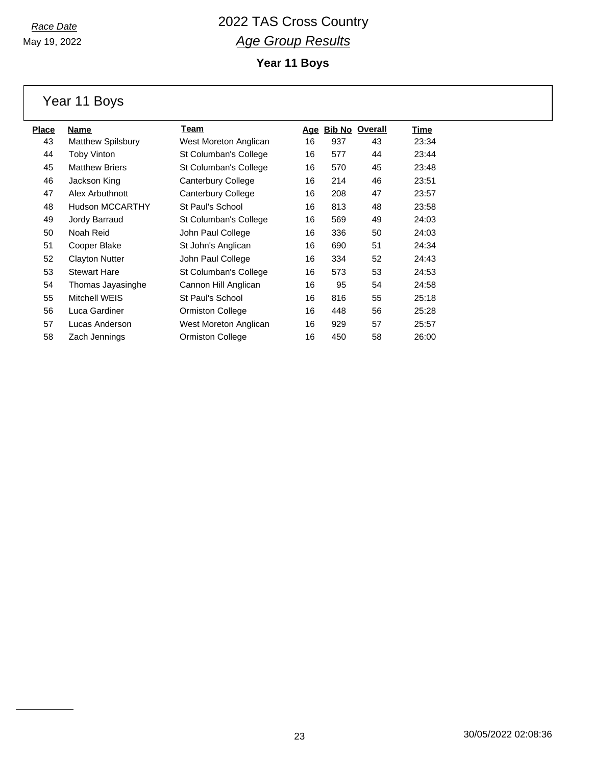May 19, 2022

**Year 11 Boys**

Year 11 Boys

| <b>Place</b> | Name                     | Team                    | Age |     | <b>Bib No Overall</b> | Time  |
|--------------|--------------------------|-------------------------|-----|-----|-----------------------|-------|
| 43           | <b>Matthew Spilsbury</b> | West Moreton Anglican   | 16  | 937 | 43                    | 23:34 |
| 44           | <b>Toby Vinton</b>       | St Columban's College   | 16  | 577 | 44                    | 23:44 |
| 45           | <b>Matthew Briers</b>    | St Columban's College   | 16  | 570 | 45                    | 23:48 |
| 46           | Jackson King             | Canterbury College      | 16  | 214 | 46                    | 23:51 |
| 47           | Alex Arbuthnott          | Canterbury College      | 16  | 208 | 47                    | 23:57 |
| 48           | <b>Hudson MCCARTHY</b>   | St Paul's School        | 16  | 813 | 48                    | 23:58 |
| 49           | Jordy Barraud            | St Columban's College   | 16  | 569 | 49                    | 24:03 |
| 50           | Noah Reid                | John Paul College       | 16  | 336 | 50                    | 24:03 |
| 51           | Cooper Blake             | St John's Anglican      | 16  | 690 | 51                    | 24:34 |
| 52           | <b>Clayton Nutter</b>    | John Paul College       | 16  | 334 | 52                    | 24:43 |
| 53           | <b>Stewart Hare</b>      | St Columban's College   | 16  | 573 | 53                    | 24:53 |
| 54           | Thomas Jayasinghe        | Cannon Hill Anglican    | 16  | 95  | 54                    | 24:58 |
| 55           | Mitchell WEIS            | St Paul's School        | 16  | 816 | 55                    | 25:18 |
| 56           | Luca Gardiner            | <b>Ormiston College</b> | 16  | 448 | 56                    | 25:28 |
| 57           | Lucas Anderson           | West Moreton Anglican   | 16  | 929 | 57                    | 25:57 |
| 58           | Zach Jennings            | <b>Ormiston College</b> | 16  | 450 | 58                    | 26:00 |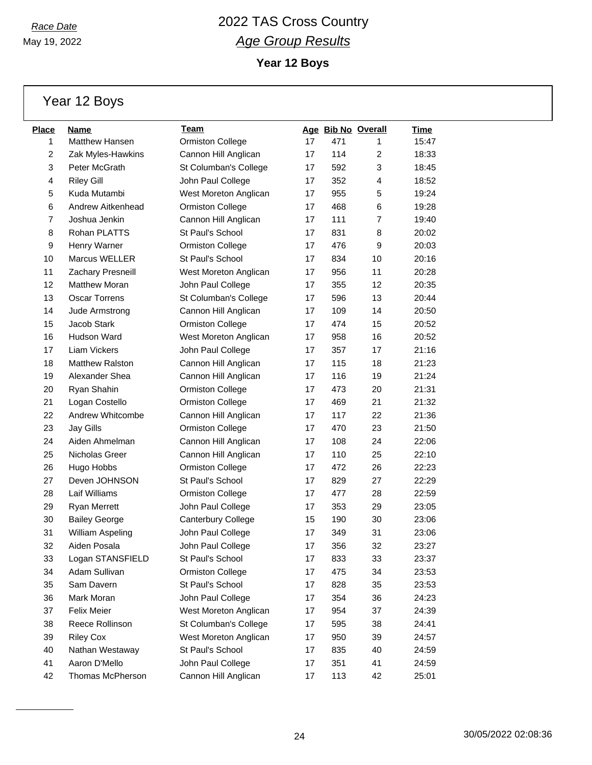May 19, 2022

**Year 12 Boys**

Year 12 Boys

| <b>Place</b>   | Name                   | Team                    |    |     | Age Bib No Overall | <u>Time</u> |
|----------------|------------------------|-------------------------|----|-----|--------------------|-------------|
| 1              | Matthew Hansen         | <b>Ormiston College</b> | 17 | 471 | 1                  | 15:47       |
| $\overline{c}$ | Zak Myles-Hawkins      | Cannon Hill Anglican    | 17 | 114 | 2                  | 18:33       |
| 3              | Peter McGrath          | St Columban's College   | 17 | 592 | 3                  | 18:45       |
| 4              | <b>Riley Gill</b>      | John Paul College       | 17 | 352 | 4                  | 18:52       |
| 5              | Kuda Mutambi           | West Moreton Anglican   | 17 | 955 | 5                  | 19:24       |
| 6              | Andrew Aitkenhead      | <b>Ormiston College</b> | 17 | 468 | 6                  | 19:28       |
| $\overline{7}$ | Joshua Jenkin          | Cannon Hill Anglican    | 17 | 111 | $\overline{7}$     | 19:40       |
| 8              | Rohan PLATTS           | St Paul's School        | 17 | 831 | 8                  | 20:02       |
| 9              | Henry Warner           | <b>Ormiston College</b> | 17 | 476 | 9                  | 20:03       |
| 10             | Marcus WELLER          | St Paul's School        | 17 | 834 | 10                 | 20:16       |
| 11             | Zachary Presneill      | West Moreton Anglican   | 17 | 956 | 11                 | 20:28       |
| 12             | <b>Matthew Moran</b>   | John Paul College       | 17 | 355 | 12                 | 20:35       |
| 13             | <b>Oscar Torrens</b>   | St Columban's College   | 17 | 596 | 13                 | 20:44       |
| 14             | Jude Armstrong         | Cannon Hill Anglican    | 17 | 109 | 14                 | 20:50       |
| 15             | Jacob Stark            | <b>Ormiston College</b> | 17 | 474 | 15                 | 20:52       |
| 16             | <b>Hudson Ward</b>     | West Moreton Anglican   | 17 | 958 | 16                 | 20:52       |
| 17             | <b>Liam Vickers</b>    | John Paul College       | 17 | 357 | 17                 | 21:16       |
| 18             | <b>Matthew Ralston</b> | Cannon Hill Anglican    | 17 | 115 | 18                 | 21:23       |
| 19             | Alexander Shea         | Cannon Hill Anglican    | 17 | 116 | 19                 | 21:24       |
| 20             | Ryan Shahin            | <b>Ormiston College</b> | 17 | 473 | 20                 | 21:31       |
| 21             | Logan Costello         | Ormiston College        | 17 | 469 | 21                 | 21:32       |
| 22             | Andrew Whitcombe       | Cannon Hill Anglican    | 17 | 117 | 22                 | 21:36       |
| 23             | Jay Gills              | Ormiston College        | 17 | 470 | 23                 | 21:50       |
| 24             | Aiden Ahmelman         | Cannon Hill Anglican    | 17 | 108 | 24                 | 22:06       |
| 25             | Nicholas Greer         | Cannon Hill Anglican    | 17 | 110 | 25                 | 22:10       |
| 26             | Hugo Hobbs             | <b>Ormiston College</b> | 17 | 472 | 26                 | 22:23       |
| 27             | Deven JOHNSON          | St Paul's School        | 17 | 829 | 27                 | 22:29       |
| 28             | Laif Williams          | <b>Ormiston College</b> | 17 | 477 | 28                 | 22:59       |
| 29             | Ryan Merrett           | John Paul College       | 17 | 353 | 29                 | 23:05       |
| 30             | <b>Bailey George</b>   | Canterbury College      | 15 | 190 | 30                 | 23:06       |
| 31             | William Aspeling       | John Paul College       | 17 | 349 | 31                 | 23:06       |
| 32             | Aiden Posala           | John Paul College       | 17 | 356 | 32                 | 23:27       |
| 33             | Logan STANSFIELD       | St Paul's School        | 17 | 833 | 33                 | 23:37       |
| 34             | Adam Sullivan          | <b>Ormiston College</b> | 17 | 475 | 34                 | 23:53       |
| 35             | Sam Davern             | St Paul's School        | 17 | 828 | 35                 | 23:53       |
| 36             | Mark Moran             | John Paul College       | 17 | 354 | 36                 | 24:23       |
| 37             | <b>Felix Meier</b>     | West Moreton Anglican   | 17 | 954 | 37                 | 24:39       |
| 38             | Reece Rollinson        | St Columban's College   | 17 | 595 | 38                 | 24:41       |
| 39             | <b>Riley Cox</b>       | West Moreton Anglican   | 17 | 950 | 39                 | 24:57       |
| 40             | Nathan Westaway        | St Paul's School        | 17 | 835 | 40                 | 24:59       |
| 41             | Aaron D'Mello          | John Paul College       | 17 | 351 | 41                 | 24:59       |
| 42             | Thomas McPherson       | Cannon Hill Anglican    | 17 | 113 | 42                 | 25:01       |